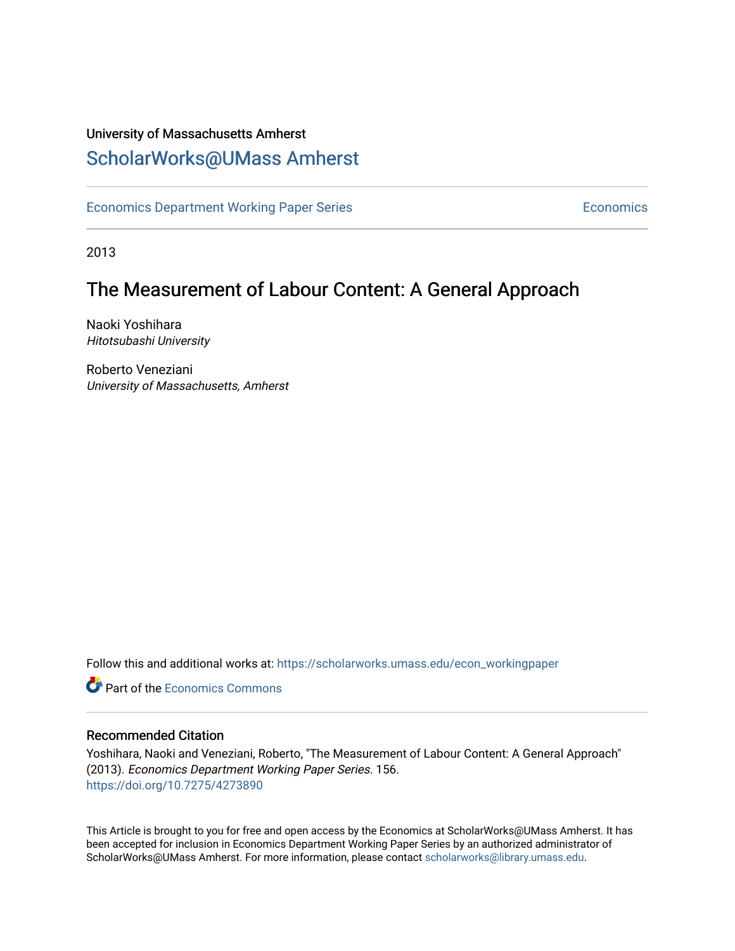### University of Massachusetts Amherst [ScholarWorks@UMass Amherst](https://scholarworks.umass.edu/)

[Economics Department Working Paper Series](https://scholarworks.umass.edu/econ_workingpaper) **Economics** Economics

2013

### The Measurement of Labour Content: A General Approach

Naoki Yoshihara Hitotsubashi University

Roberto Veneziani University of Massachusetts, Amherst

Follow this and additional works at: [https://scholarworks.umass.edu/econ\\_workingpaper](https://scholarworks.umass.edu/econ_workingpaper?utm_source=scholarworks.umass.edu%2Fecon_workingpaper%2F156&utm_medium=PDF&utm_campaign=PDFCoverPages) 

**C** Part of the [Economics Commons](http://network.bepress.com/hgg/discipline/340?utm_source=scholarworks.umass.edu%2Fecon_workingpaper%2F156&utm_medium=PDF&utm_campaign=PDFCoverPages)

#### Recommended Citation

Yoshihara, Naoki and Veneziani, Roberto, "The Measurement of Labour Content: A General Approach" (2013). Economics Department Working Paper Series. 156. <https://doi.org/10.7275/4273890>

This Article is brought to you for free and open access by the Economics at ScholarWorks@UMass Amherst. It has been accepted for inclusion in Economics Department Working Paper Series by an authorized administrator of ScholarWorks@UMass Amherst. For more information, please contact [scholarworks@library.umass.edu.](mailto:scholarworks@library.umass.edu)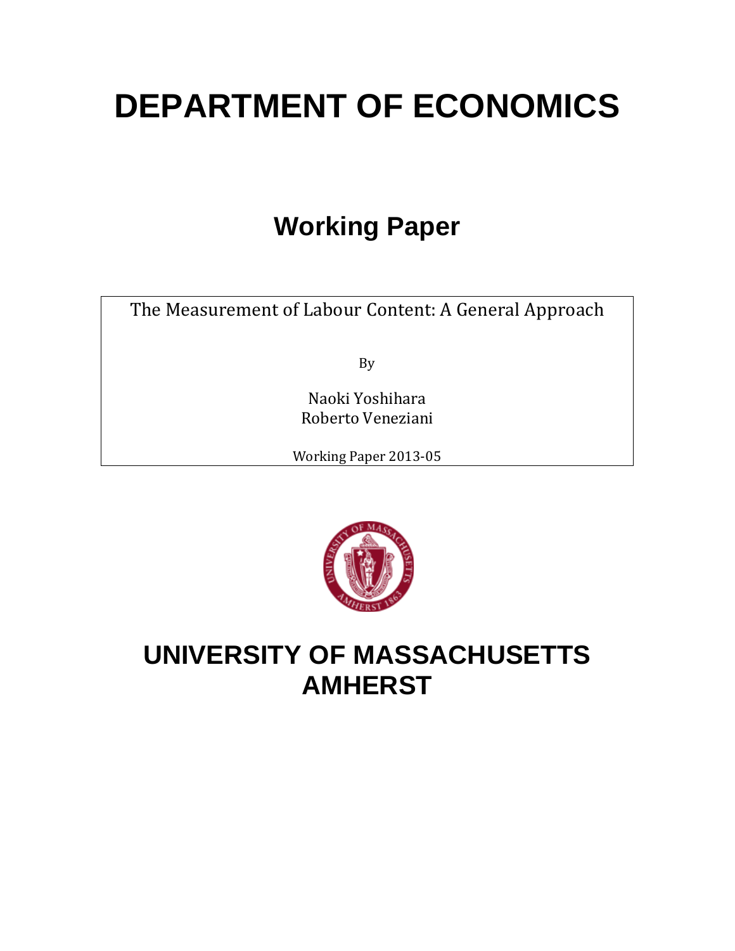# **DEPARTMENT OF ECONOMICS**

## **Working Paper**

The Measurement of Labour Content: A General Approach

By

Naoki Yoshihara Roberto Veneziani

Working Paper 2013-05



## **UNIVERSITY OF MASSACHUSETTS AMHERST**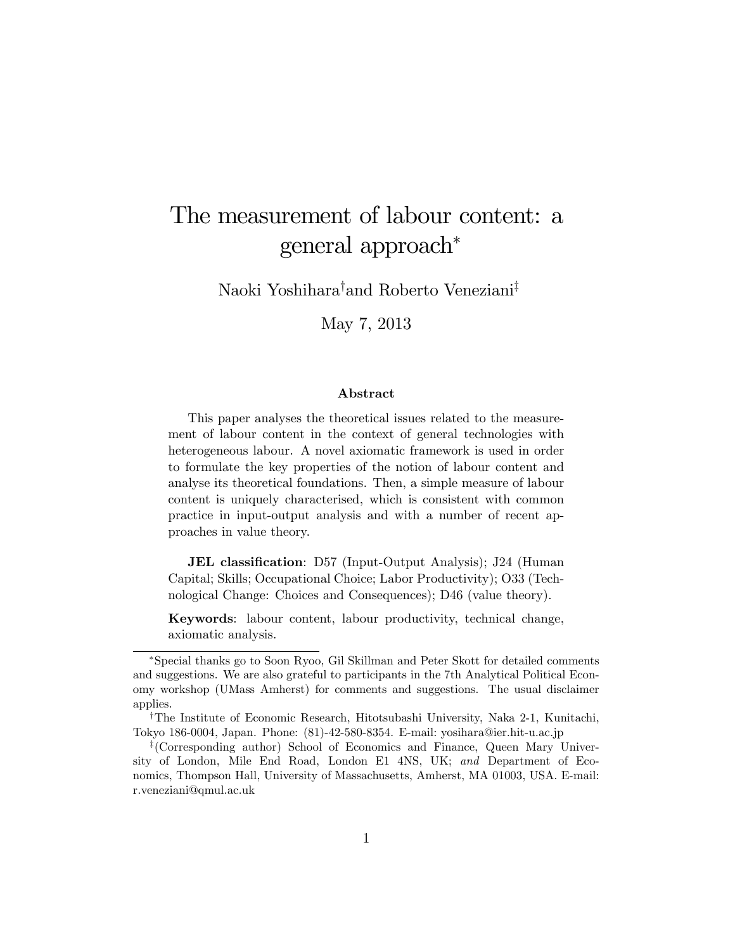## The measurement of labour content: a general approach

Naoki Yoshihara<sup>†</sup>and Roberto Veneziani<sup>‡</sup>

May 7, 2013

#### Abstract

This paper analyses the theoretical issues related to the measurement of labour content in the context of general technologies with heterogeneous labour. A novel axiomatic framework is used in order to formulate the key properties of the notion of labour content and analyse its theoretical foundations. Then, a simple measure of labour content is uniquely characterised, which is consistent with common practice in input-output analysis and with a number of recent approaches in value theory.

**JEL classification**: D57 (Input-Output Analysis); J24 (Human Capital; Skills; Occupational Choice; Labor Productivity); O33 (Technological Change: Choices and Consequences); D46 (value theory).

Keywords: labour content, labour productivity, technical change, axiomatic analysis.

Special thanks go to Soon Ryoo, Gil Skillman and Peter Skott for detailed comments and suggestions. We are also grateful to participants in the 7th Analytical Political Economy workshop (UMass Amherst) for comments and suggestions. The usual disclaimer applies.

<sup>&</sup>lt;sup>†</sup>The Institute of Economic Research, Hitotsubashi University, Naka 2-1, Kunitachi, Tokyo 186-0004, Japan. Phone: (81)-42-580-8354. E-mail: yosihara@ier.hit-u.ac.jp

z (Corresponding author) School of Economics and Finance, Queen Mary University of London, Mile End Road, London E1 4NS, UK; and Department of Economics, Thompson Hall, University of Massachusetts, Amherst, MA 01003, USA. E-mail: r.veneziani@qmul.ac.uk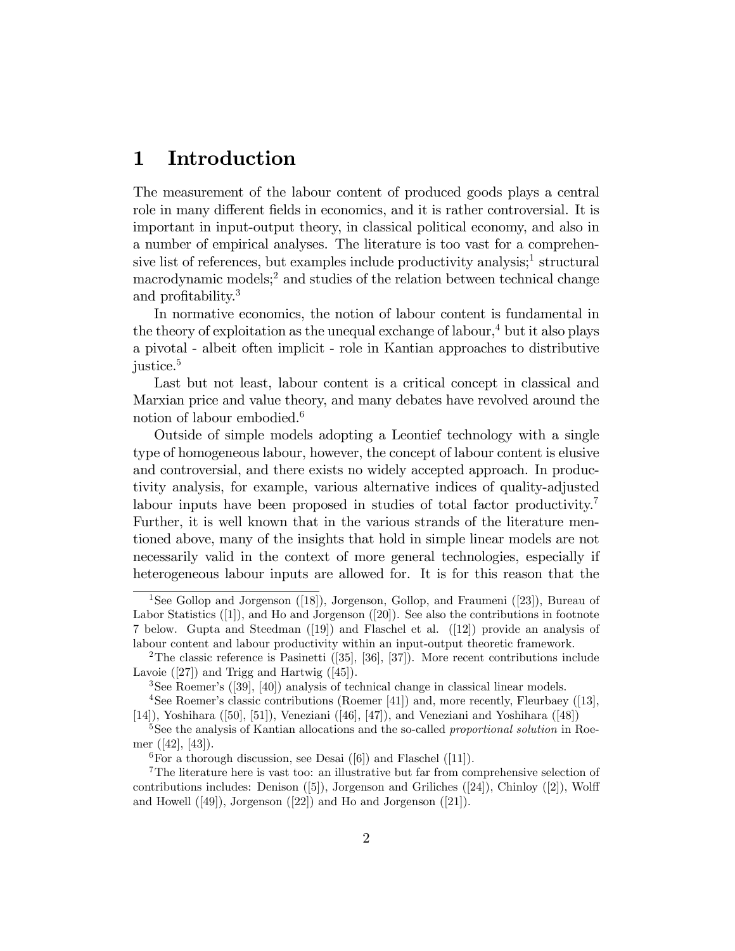#### 1 Introduction

The measurement of the labour content of produced goods plays a central role in many different fields in economics, and it is rather controversial. It is important in input-output theory, in classical political economy, and also in a number of empirical analyses. The literature is too vast for a comprehensive list of references, but examples include productivity analysis;<sup>1</sup> structural macrodynamic models;<sup>2</sup> and studies of the relation between technical change and profitability.<sup>3</sup>

In normative economics, the notion of labour content is fundamental in the theory of exploitation as the unequal exchange of labour,  $4$  but it also plays a pivotal - albeit often implicit - role in Kantian approaches to distributive justice.<sup>5</sup>

Last but not least, labour content is a critical concept in classical and Marxian price and value theory, and many debates have revolved around the notion of labour embodied.<sup>6</sup>

Outside of simple models adopting a Leontief technology with a single type of homogeneous labour, however, the concept of labour content is elusive and controversial, and there exists no widely accepted approach. In productivity analysis, for example, various alternative indices of quality-adjusted labour inputs have been proposed in studies of total factor productivity.<sup>7</sup> Further, it is well known that in the various strands of the literature mentioned above, many of the insights that hold in simple linear models are not necessarily valid in the context of more general technologies, especially if heterogeneous labour inputs are allowed for. It is for this reason that the

<sup>&</sup>lt;sup>1</sup>See Gollop and Jorgenson ([18]), Jorgenson, Gollop, and Fraumeni ([23]), Bureau of Labor Statistics ([1]), and Ho and Jorgenson ([20]). See also the contributions in footnote 7 below. Gupta and Steedman ([19]) and Flaschel et al. ([12]) provide an analysis of labour content and labour productivity within an input-output theoretic framework.

<sup>&</sup>lt;sup>2</sup>The classic reference is Pasinetti  $(35]$ ,  $[36]$ ,  $[37]$ ). More recent contributions include Lavoie ([27]) and Trigg and Hartwig ([45]).

<sup>3</sup>See Roemerís ([39], [40]) analysis of technical change in classical linear models.

<sup>&</sup>lt;sup>4</sup>See Roemer's classic contributions (Roemer [41]) and, more recently, Fleurbaey ([13], [14]), Yoshihara ([50], [51]), Veneziani ([46], [47]), and Veneziani and Yoshihara ([48])

<sup>&</sup>lt;sup>5</sup>See the analysis of Kantian allocations and the so-called *proportional solution* in Roemer ([42], [43]).

<sup>&</sup>lt;sup>6</sup>For a thorough discussion, see Desai ([6]) and Flaschel ([11]).

<sup>7</sup>The literature here is vast too: an illustrative but far from comprehensive selection of contributions includes: Denison  $([5])$ , Jorgenson and Griliches  $([24])$ , Chinloy  $([2])$ , Wolff and Howell ([49]), Jorgenson ([22]) and Ho and Jorgenson ([21]).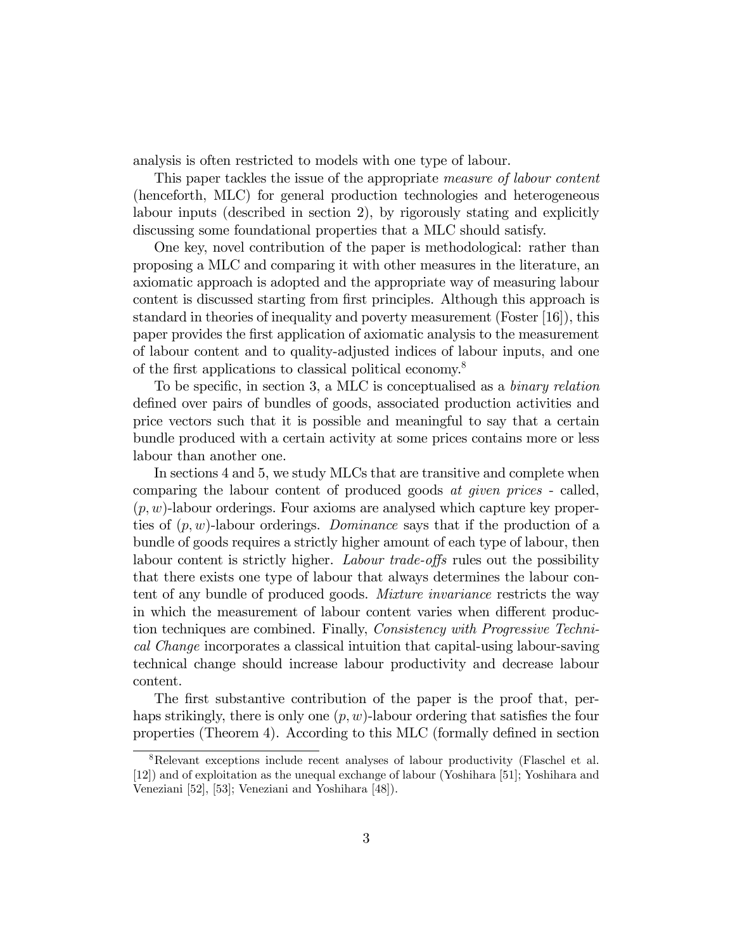analysis is often restricted to models with one type of labour.

This paper tackles the issue of the appropriate *measure of labour content* (henceforth, MLC) for general production technologies and heterogeneous labour inputs (described in section 2), by rigorously stating and explicitly discussing some foundational properties that a MLC should satisfy.

One key, novel contribution of the paper is methodological: rather than proposing a MLC and comparing it with other measures in the literature, an axiomatic approach is adopted and the appropriate way of measuring labour content is discussed starting from first principles. Although this approach is standard in theories of inequality and poverty measurement (Foster [16]), this paper provides the Örst application of axiomatic analysis to the measurement of labour content and to quality-adjusted indices of labour inputs, and one of the first applications to classical political economy.<sup>8</sup>

To be specific, in section 3, a MLC is conceptualised as a *binary relation* defined over pairs of bundles of goods, associated production activities and price vectors such that it is possible and meaningful to say that a certain bundle produced with a certain activity at some prices contains more or less labour than another one.

In sections 4 and 5, we study MLCs that are transitive and complete when comparing the labour content of produced goods at given prices - called,  $(p, w)$ -labour orderings. Four axioms are analysed which capture key properties of  $(p, w)$ -labour orderings. *Dominance* says that if the production of a bundle of goods requires a strictly higher amount of each type of labour, then labour content is strictly higher. Labour trade-offs rules out the possibility that there exists one type of labour that always determines the labour content of any bundle of produced goods. *Mixture invariance* restricts the way in which the measurement of labour content varies when different production techniques are combined. Finally, Consistency with Progressive Technical Change incorporates a classical intuition that capital-using labour-saving technical change should increase labour productivity and decrease labour content.

The first substantive contribution of the paper is the proof that, perhaps strikingly, there is only one  $(p, w)$ -labour ordering that satisfies the four properties (Theorem 4). According to this MLC (formally defined in section

<sup>&</sup>lt;sup>8</sup>Relevant exceptions include recent analyses of labour productivity (Flaschel et al. [12]) and of exploitation as the unequal exchange of labour (Yoshihara [51]; Yoshihara and Veneziani [52], [53]; Veneziani and Yoshihara [48]).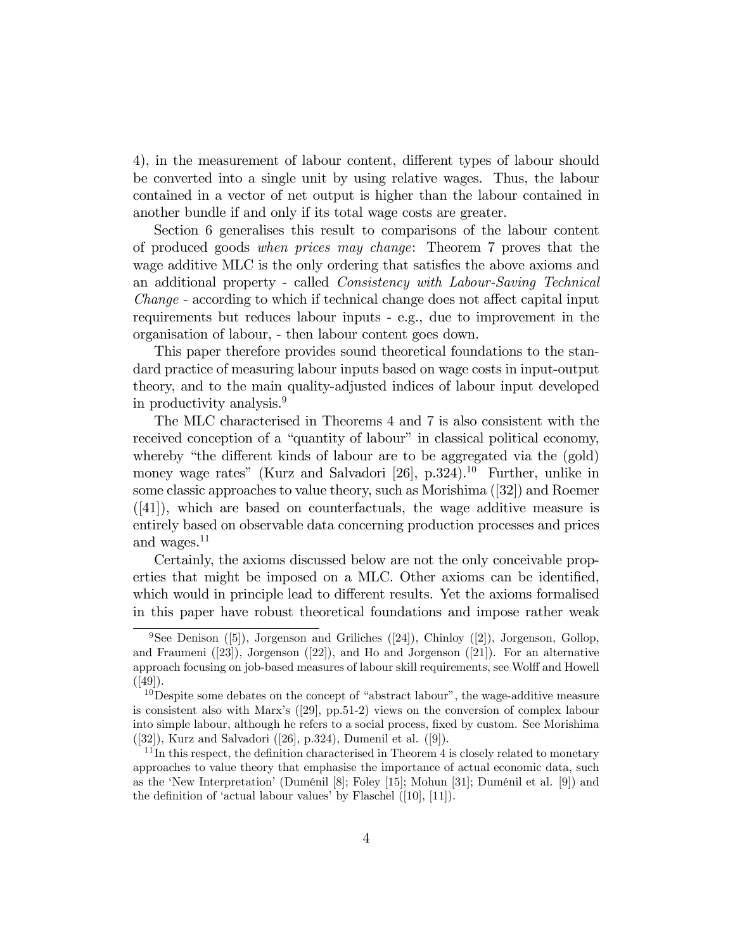4), in the measurement of labour content, different types of labour should be converted into a single unit by using relative wages. Thus, the labour contained in a vector of net output is higher than the labour contained in another bundle if and only if its total wage costs are greater.

Section 6 generalises this result to comparisons of the labour content of produced goods when prices may change: Theorem 7 proves that the wage additive MLC is the only ordering that satisfies the above axioms and an additional property - called Consistency with Labour-Saving Technical *Change* - according to which if technical change does not affect capital input requirements but reduces labour inputs - e.g., due to improvement in the organisation of labour, - then labour content goes down.

This paper therefore provides sound theoretical foundations to the standard practice of measuring labour inputs based on wage costs in input-output theory, and to the main quality-adjusted indices of labour input developed in productivity analysis.<sup>9</sup>

The MLC characterised in Theorems 4 and 7 is also consistent with the received conception of a "quantity of labour" in classical political economy, whereby "the different kinds of labour are to be aggregated via the (gold) money wage rates" (Kurz and Salvadori [26],  $p.324$ ).<sup>10</sup> Further, unlike in some classic approaches to value theory, such as Morishima ([32]) and Roemer  $([41])$ , which are based on counterfactuals, the wage additive measure is entirely based on observable data concerning production processes and prices and wages.<sup>11</sup>

Certainly, the axioms discussed below are not the only conceivable properties that might be imposed on a MLC. Other axioms can be identified, which would in principle lead to different results. Yet the axioms formalised in this paper have robust theoretical foundations and impose rather weak

<sup>&</sup>lt;sup>9</sup>See Denison ([5]), Jorgenson and Griliches ([24]), Chinloy ([2]), Jorgenson, Gollop, and Fraumeni ([23]), Jorgenson ([22]), and Ho and Jorgenson ([21]). For an alternative approach focusing on job-based measures of labour skill requirements, see Wolff and Howell  $([49])$ .

 $10<sup>10</sup>$  Despite some debates on the concept of "abstract labour", the wage-additive measure is consistent also with Marx's  $(29)$ , pp.51-2) views on the conversion of complex labour into simple labour, although he refers to a social process, fixed by custom. See Morishima ([32]), Kurz and Salvadori ([26], p.324), Dumenil et al. ([9]).

 $11$ In this respect, the definition characterised in Theorem 4 is closely related to monetary approaches to value theory that emphasise the importance of actual economic data, such as the 'New Interpretation' (Duménil [8]; Foley [15]; Mohun [31]; Duménil et al. [9]) and the definition of 'actual labour values' by Flaschel  $([10], [11])$ .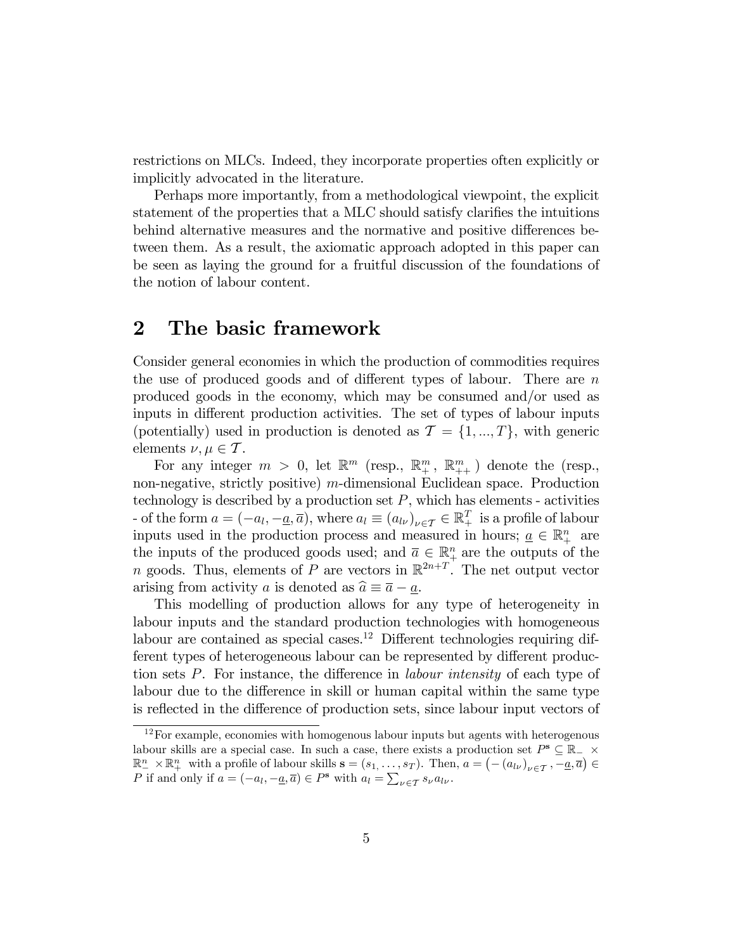restrictions on MLCs. Indeed, they incorporate properties often explicitly or implicitly advocated in the literature.

Perhaps more importantly, from a methodological viewpoint, the explicit statement of the properties that a MLC should satisfy clarifies the intuitions behind alternative measures and the normative and positive differences between them. As a result, the axiomatic approach adopted in this paper can be seen as laying the ground for a fruitful discussion of the foundations of the notion of labour content.

#### 2 The basic framework

Consider general economies in which the production of commodities requires the use of produced goods and of different types of labour. There are  $n$ produced goods in the economy, which may be consumed and/or used as inputs in different production activities. The set of types of labour inputs (potentially) used in production is denoted as  $\mathcal{T} = \{1, ..., T\}$ , with generic elements  $\nu, \mu \in \mathcal{T}$ .

For any integer  $m > 0$ , let  $\mathbb{R}^m$  (resp.,  $\mathbb{R}^m_+$ ,  $\mathbb{R}^m_{++}$ ) denote the (resp., non-negative, strictly positive) m-dimensional Euclidean space. Production technology is described by a production set  $P$ , which has elements - activities - of the form  $a = (-a_l, -\underline{a}, \overline{a})$ , where  $a_l \equiv (a_{l\nu})_{\nu \in \mathcal{T}} \in \mathbb{R}^T_+$  is a profile of labour inputs used in the production process and measured in hours;  $\underline{a} \in \mathbb{R}^n_+$  are the inputs of the produced goods used; and  $\overline{a} \in \mathbb{R}^n_+$  are the outputs of the n goods. Thus, elements of P are vectors in  $\mathbb{R}^{2n+T}$ . The net output vector arising from activity a is denoted as  $\hat{a} \equiv \overline{a} - a$ .

This modelling of production allows for any type of heterogeneity in labour inputs and the standard production technologies with homogeneous labour are contained as special cases.<sup>12</sup> Different technologies requiring different types of heterogeneous labour can be represented by different production sets  $P$ . For instance, the difference in *labour intensity* of each type of labour due to the difference in skill or human capital within the same type is reflected in the difference of production sets, since labour input vectors of

 $12$  For example, economies with homogenous labour inputs but agents with heterogenous labour skills are a special case. In such a case, there exists a production set  $P^{\mathbf{s}} \subseteq \mathbb{R}_{-} \times$  $\mathbb{R}^n \times \mathbb{R}^n$  with a profile of labour skills  $\mathbf{s} = (s_1, \ldots, s_T)$ . Then,  $a = (- (a_{l\nu})_{\nu \in \mathcal{T}}, -\underline{a}, \overline{a}) \in$ P if and only if  $a = (-a_l, -\underline{a}, \overline{a}) \in P^s$  with  $a_l = \sum_{\nu \in \mathcal{T}} s_{\nu} a_{l\nu}$ .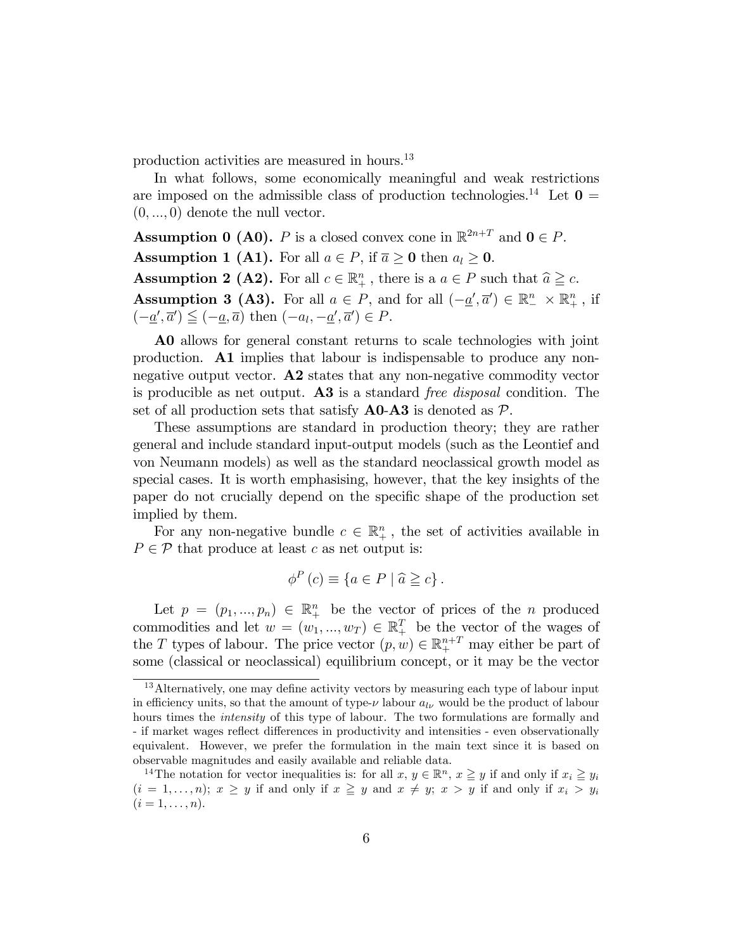production activities are measured in hours.<sup>13</sup>

In what follows, some economically meaningful and weak restrictions are imposed on the admissible class of production technologies.<sup>14</sup> Let  $\mathbf{0} =$  $(0, ..., 0)$  denote the null vector.

**Assumption 0 (A0).** P is a closed convex cone in  $\mathbb{R}^{2n+T}$  and  $0 \in P$ . **Assumption 1 (A1).** For all  $a \in P$ , if  $\overline{a} \ge 0$  then  $a_i \ge 0$ . **Assumption 2 (A2).** For all  $c \in \mathbb{R}^n_+$ , there is a  $a \in P$  such that  $\hat{a} \geq c$ . **Assumption 3 (A3).** For all  $a \in P$ , and for all  $(-\underline{a}', \overline{a}') \in \mathbb{R}^n \times \mathbb{R}^n_+$ , if  $(-\underline{a}', \overline{a}') \leq (-\underline{a}, \overline{a})$  then  $(-a_l, -\underline{a}', \overline{a}') \in P$ .

A0 allows for general constant returns to scale technologies with joint production. A1 implies that labour is indispensable to produce any nonnegative output vector. A2 states that any non-negative commodity vector is producible as net output. A3 is a standard free disposal condition. The set of all production sets that satisfy  $\bf{A0-A3}$  is denoted as  $\mathcal{P}$ .

These assumptions are standard in production theory; they are rather general and include standard input-output models (such as the Leontief and von Neumann models) as well as the standard neoclassical growth model as special cases. It is worth emphasising, however, that the key insights of the paper do not crucially depend on the specific shape of the production set implied by them.

For any non-negative bundle  $c \in \mathbb{R}_+^n$ , the set of activities available in  $P \in \mathcal{P}$  that produce at least c as net output is:

$$
\phi^P(c) \equiv \{ a \in P \mid \widehat{a} \geqq c \} .
$$

Let  $p = (p_1, ..., p_n) \in \mathbb{R}^n_+$  be the vector of prices of the n produced commodities and let  $w = (w_1, ..., w_T) \in \mathbb{R}^T_+$  be the vector of the wages of the T types of labour. The price vector  $(p, w) \in \mathbb{R}^{n+T}_+$  may either be part of some (classical or neoclassical) equilibrium concept, or it may be the vector

 $13$ Alternatively, one may define activity vectors by measuring each type of labour input in efficiency units, so that the amount of type- $\nu$  labour  $a_{l\nu}$  would be the product of labour hours times the *intensity* of this type of labour. The two formulations are formally and - if market wages reflect differences in productivity and intensities - even observationally equivalent. However, we prefer the formulation in the main text since it is based on observable magnitudes and easily available and reliable data.

<sup>&</sup>lt;sup>14</sup>The notation for vector inequalities is: for all  $x, y \in \mathbb{R}^n$ ,  $x \ge y$  if and only if  $x_i \ge y_i$  $(i = 1, \ldots, n); x \geq y$  if and only if  $x \geq y$  and  $x \neq y; x > y$  if and only if  $x_i > y_i$  $(i = 1, \ldots, n).$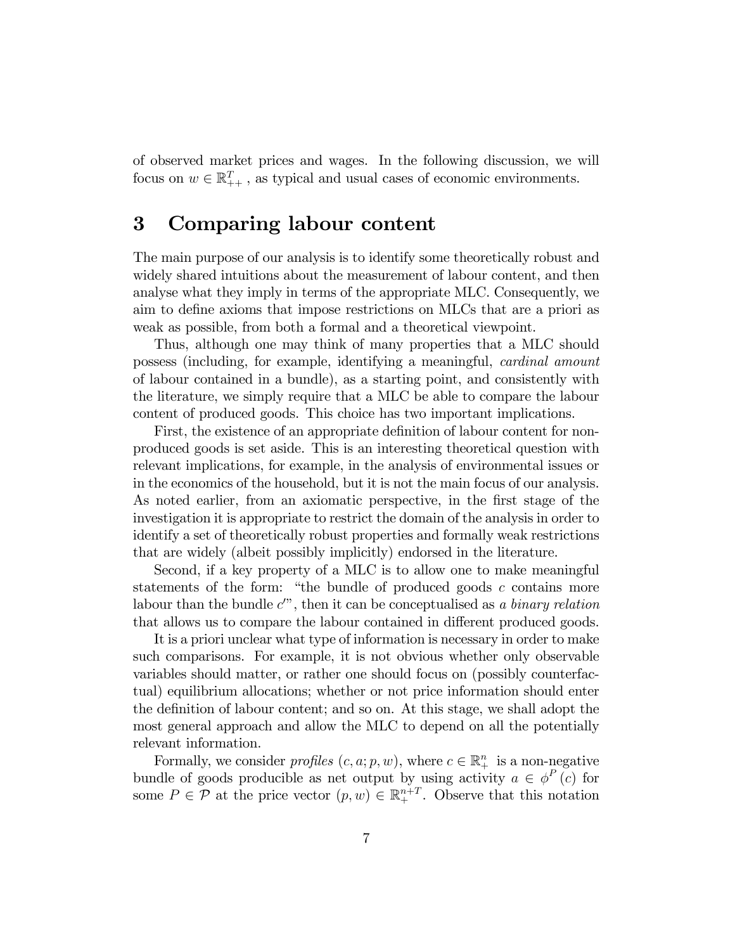of observed market prices and wages. In the following discussion, we will focus on  $w \in \mathbb{R}_{++}^T$ , as typical and usual cases of economic environments.

### 3 Comparing labour content

The main purpose of our analysis is to identify some theoretically robust and widely shared intuitions about the measurement of labour content, and then analyse what they imply in terms of the appropriate MLC. Consequently, we aim to define axioms that impose restrictions on MLCs that are a priori as weak as possible, from both a formal and a theoretical viewpoint.

Thus, although one may think of many properties that a MLC should possess (including, for example, identifying a meaningful, cardinal amount of labour contained in a bundle), as a starting point, and consistently with the literature, we simply require that a MLC be able to compare the labour content of produced goods. This choice has two important implications.

First, the existence of an appropriate definition of labour content for nonproduced goods is set aside. This is an interesting theoretical question with relevant implications, for example, in the analysis of environmental issues or in the economics of the household, but it is not the main focus of our analysis. As noted earlier, from an axiomatic perspective, in the first stage of the investigation it is appropriate to restrict the domain of the analysis in order to identify a set of theoretically robust properties and formally weak restrictions that are widely (albeit possibly implicitly) endorsed in the literature.

Second, if a key property of a MLC is to allow one to make meaningful statements of the form: "the bundle of produced goods  $c$  contains more labour than the bundle  $c''$ , then it can be conceptualised as a binary relation that allows us to compare the labour contained in different produced goods.

It is a priori unclear what type of information is necessary in order to make such comparisons. For example, it is not obvious whether only observable variables should matter, or rather one should focus on (possibly counterfactual) equilibrium allocations; whether or not price information should enter the definition of labour content; and so on. At this stage, we shall adopt the most general approach and allow the MLC to depend on all the potentially relevant information.

Formally, we consider *profiles*  $(c, a; p, w)$ , where  $c \in \mathbb{R}^n_+$  is a non-negative bundle of goods producible as net output by using activity  $a \in \phi^P(c)$  for some  $P \in \mathcal{P}$  at the price vector  $(p, w) \in \mathbb{R}^{n+T}_+$ . Observe that this notation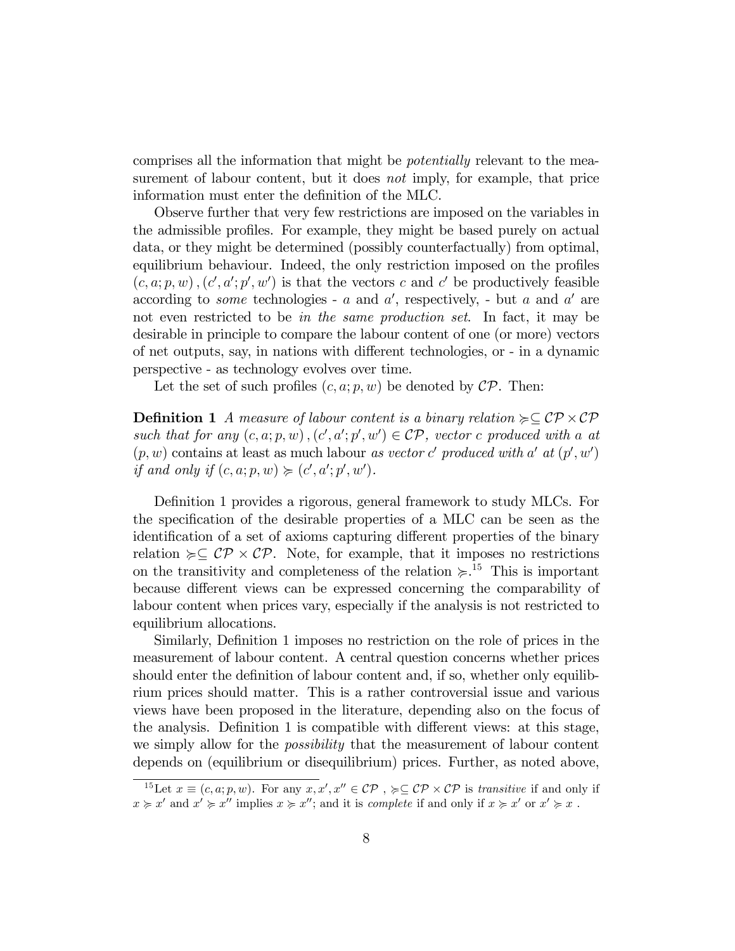comprises all the information that might be potentially relevant to the measurement of labour content, but it does not imply, for example, that price information must enter the definition of the MLC.

Observe further that very few restrictions are imposed on the variables in the admissible profiles. For example, they might be based purely on actual data, or they might be determined (possibly counterfactually) from optimal, equilibrium behaviour. Indeed, the only restriction imposed on the profiles  $(c, a; p, w)$ ,  $(c', a'; p', w')$  is that the vectors c and c' be productively feasible according to *some* technologies -  $a$  and  $a'$ , respectively, - but  $a$  and  $a'$  are not even restricted to be in the same production set. In fact, it may be desirable in principle to compare the labour content of one (or more) vectors of net outputs, say, in nations with different technologies, or - in a dynamic perspective - as technology evolves over time.

Let the set of such profiles  $(c, a; p, w)$  be denoted by  $\mathcal{CP}$ . Then:

**Definition 1** A measure of labour content is a binary relation  $\succeq \mathcal{CP} \times \mathcal{CP}$ such that for any  $(c, a; p, w)$ ,  $(c', a'; p', w') \in \mathcal{CP}$ , vector c produced with a at  $(p, w)$  contains at least as much labour as vector c' produced with a' at  $(p', w')$ if and only if  $(c, a; p, w) \succcurlyeq (c', a'; p', w').$ 

Definition 1 provides a rigorous, general framework to study MLCs. For the specification of the desirable properties of a MLC can be seen as the identification of a set of axioms capturing different properties of the binary relation  $\succcurlyeq \subseteq \mathcal{CP} \times \mathcal{CP}$ . Note, for example, that it imposes no restrictions on the transitivity and completeness of the relation  $\succcurlyeq$ .<sup>15</sup> This is important because different views can be expressed concerning the comparability of labour content when prices vary, especially if the analysis is not restricted to equilibrium allocations.

Similarly, Definition 1 imposes no restriction on the role of prices in the measurement of labour content. A central question concerns whether prices should enter the definition of labour content and, if so, whether only equilibrium prices should matter. This is a rather controversial issue and various views have been proposed in the literature, depending also on the focus of the analysis. Definition 1 is compatible with different views: at this stage, we simply allow for the *possibility* that the measurement of labour content depends on (equilibrium or disequilibrium) prices. Further, as noted above,

<sup>&</sup>lt;sup>15</sup>Let  $x \equiv (c, a, p, w)$ . For any  $x, x', x'' \in \mathcal{CP}$ ,  $\succcurlyeq \subseteq \mathcal{CP} \times \mathcal{CP}$  is transitive if and only if  $x \geq x'$  and  $x' \geq x''$  implies  $x \geq x''$ ; and it is *complete* if and only if  $x \geq x'$  or  $x' \geq x$ .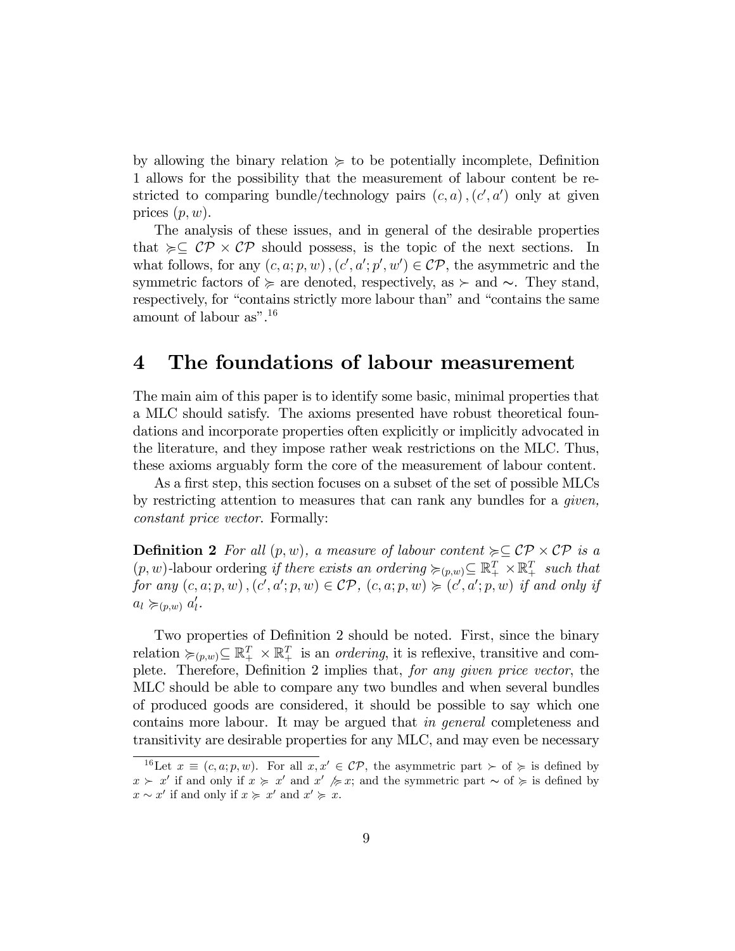by allowing the binary relation  $\succeq$  to be potentially incomplete, Definition 1 allows for the possibility that the measurement of labour content be restricted to comparing bundle/technology pairs  $(c, a)$ ,  $(c', a')$  only at given prices  $(p, w)$ .

The analysis of these issues, and in general of the desirable properties that  $\succcurlyeq\subseteq$  CP  $\times$  CP should possess, is the topic of the next sections. In what follows, for any  $(c, a; p, w)$ ,  $(c', a'; p', w') \in \mathcal{CP}$ , the asymmetric and the symmetric factors of  $\succeq$  are denoted, respectively, as  $\succeq$  and  $\sim$ . They stand, respectively, for "contains strictly more labour than" and "contains the same amount of labour as". $16$ 

#### 4 The foundations of labour measurement

The main aim of this paper is to identify some basic, minimal properties that a MLC should satisfy. The axioms presented have robust theoretical foundations and incorporate properties often explicitly or implicitly advocated in the literature, and they impose rather weak restrictions on the MLC. Thus, these axioms arguably form the core of the measurement of labour content.

As a first step, this section focuses on a subset of the set of possible MLCs by restricting attention to measures that can rank any bundles for a given, constant price vector. Formally:

**Definition 2** For all  $(p, w)$ , a measure of labour content  $\succcurlyeq \subseteq \mathcal{CP} \times \mathcal{CP}$  is a  $(p, w)$ -labour ordering if there exists an ordering  $\succcurlyeq_{(p, w)} \subseteq \mathbb{R}_+^T \times \mathbb{R}_+^T$  such that for any  $(c, a; p, w)$ ,  $(c', a'; p, w) \in \mathcal{CP}$ ,  $(c, a; p, w) \succcurlyeq (c', a'; p, w)$  if and only if  $a_l \succcurlyeq_{(p,w)} a'_l$ .

Two properties of Definition 2 should be noted. First, since the binary relation  $\succcurlyeq_{(p,w)} \subseteq \mathbb{R}^T_+ \times \mathbb{R}^T_+$  is an *ordering*, it is reflexive, transitive and complete. Therefore, Definition 2 implies that, for any given price vector, the MLC should be able to compare any two bundles and when several bundles of produced goods are considered, it should be possible to say which one contains more labour. It may be argued that in general completeness and transitivity are desirable properties for any MLC, and may even be necessary

<sup>&</sup>lt;sup>16</sup>Let  $x \equiv (c, a; p, w)$ . For all  $x, x' \in \mathcal{CP}$ , the asymmetric part  $\succ$  of  $\succcurlyeq$  is defined by  $x \succ x'$  if and only if  $x \succ x'$  and  $x' \not\succ x$ ; and the symmetric part  $\sim$  of  $\succ$  is defined by  $x \sim x'$  if and only if  $x \succcurlyeq x'$  and  $x' \succcurlyeq x$ .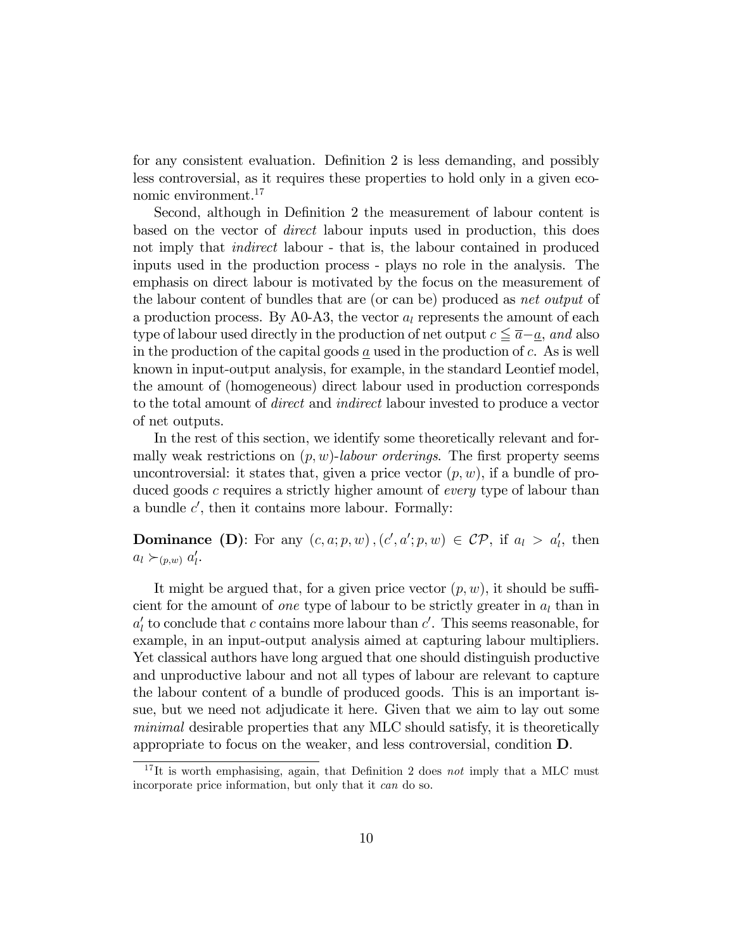for any consistent evaluation. Definition 2 is less demanding, and possibly less controversial, as it requires these properties to hold only in a given economic environment.<sup>17</sup>

Second, although in Definition 2 the measurement of labour content is based on the vector of direct labour inputs used in production, this does not imply that *indirect* labour - that is, the labour contained in produced inputs used in the production process - plays no role in the analysis. The emphasis on direct labour is motivated by the focus on the measurement of the labour content of bundles that are (or can be) produced as net output of a production process. By A0-A3, the vector  $a_l$  represents the amount of each type of labour used directly in the production of net output  $c \leq \overline{a}-\underline{a}$ , and also in the production of the capital goods  $a$  used in the production of  $c$ . As is well known in input-output analysis, for example, in the standard Leontief model, the amount of (homogeneous) direct labour used in production corresponds to the total amount of direct and indirect labour invested to produce a vector of net outputs.

In the rest of this section, we identify some theoretically relevant and formally weak restrictions on  $(p, w)$ -labour orderings. The first property seems uncontroversial: it states that, given a price vector  $(p, w)$ , if a bundle of produced goods c requires a strictly higher amount of every type of labour than a bundle  $c'$ , then it contains more labour. Formally:

**Dominance** (D): For any  $(c, a; p, w)$ ,  $(c', a'; p, w) \in \mathcal{CP}$ , if  $a_l > a'_l$ , then  $a_l \succ_{(p,w)} a'_l$ .

It might be argued that, for a given price vector  $(p, w)$ , it should be sufficient for the amount of *one* type of labour to be strictly greater in  $a_l$  than in  $a'_l$  to conclude that c contains more labour than c'. This seems reasonable, for example, in an input-output analysis aimed at capturing labour multipliers. Yet classical authors have long argued that one should distinguish productive and unproductive labour and not all types of labour are relevant to capture the labour content of a bundle of produced goods. This is an important issue, but we need not adjudicate it here. Given that we aim to lay out some minimal desirable properties that any MLC should satisfy, it is theoretically appropriate to focus on the weaker, and less controversial, condition D.

 $17$ It is worth emphasising, again, that Definition 2 does not imply that a MLC must incorporate price information, but only that it can do so.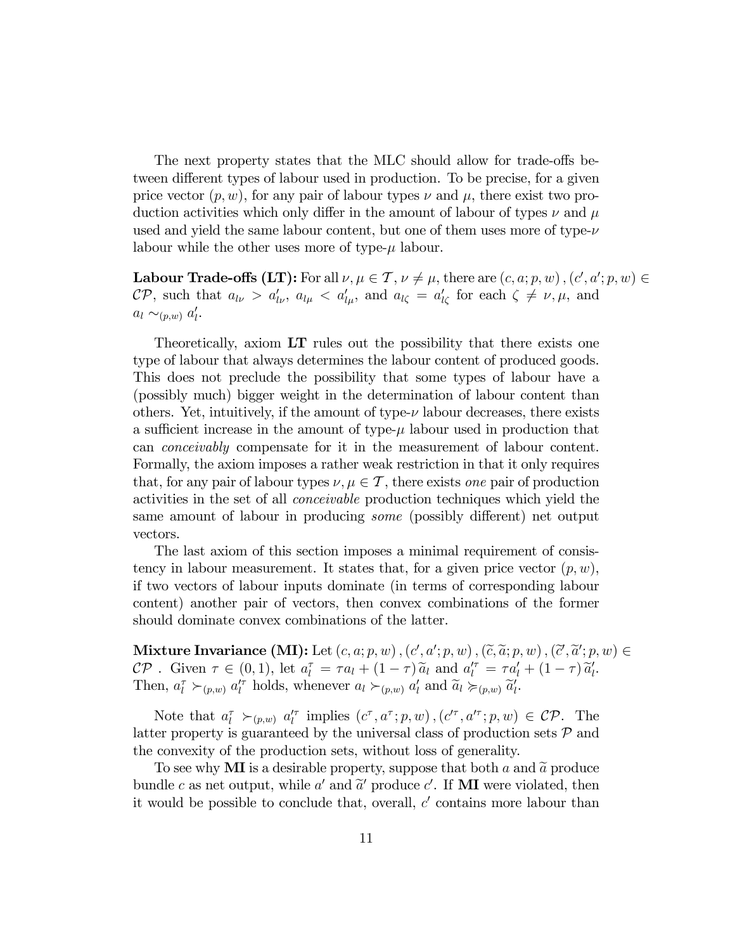The next property states that the MLC should allow for trade-offs between different types of labour used in production. To be precise, for a given price vector  $(p, w)$ , for any pair of labour types  $\nu$  and  $\mu$ , there exist two production activities which only differ in the amount of labour of types  $\nu$  and  $\mu$ used and yield the same labour content, but one of them uses more of type- $\nu$ labour while the other uses more of type- $\mu$  labour.

**Labour Trade-offs (LT):** For all  $\nu, \mu \in \mathcal{T}$ ,  $\nu \neq \mu$ , there are  $(c, a; p, w)$ ,  $(c', a'; p, w) \in$  $\mathcal{CP}$ , such that  $a_{l\nu} > a'_{l\nu}$ ,  $a_{l\mu} < a'_{l\mu}$ , and  $a_{l\zeta} = a'_{l\zeta}$  for each  $\zeta \neq \nu, \mu$ , and  $a_l \sim_{(p,w)} a'_l$ .

Theoretically, axiom LT rules out the possibility that there exists one type of labour that always determines the labour content of produced goods. This does not preclude the possibility that some types of labour have a (possibly much) bigger weight in the determination of labour content than others. Yet, intuitively, if the amount of type- $\nu$  labour decreases, there exists a sufficient increase in the amount of type- $\mu$  labour used in production that can conceivably compensate for it in the measurement of labour content. Formally, the axiom imposes a rather weak restriction in that it only requires that, for any pair of labour types  $\nu, \mu \in \mathcal{T}$ , there exists one pair of production activities in the set of all conceivable production techniques which yield the same amount of labour in producing *some* (possibly different) net output vectors.

The last axiom of this section imposes a minimal requirement of consistency in labour measurement. It states that, for a given price vector  $(p, w)$ , if two vectors of labour inputs dominate (in terms of corresponding labour content) another pair of vectors, then convex combinations of the former should dominate convex combinations of the latter.

Mixture Invariance (MI): Let  $(c, a; p, w)$ ,  $(c', a'; p, w)$ ,  $(\widetilde{c}, \widetilde{a}; p, w)$ ,  $(\widetilde{c}', \widetilde{a}'; p, w) \in$  $\mathcal{CP}$ . Given  $\tau \in (0,1)$ , let  $a_l^{\tau} = \tau a_l + (1-\tau) \widetilde{a}_l$  and  $a_l^{\prime \tau} = \tau a_l^{\prime} + (1-\tau) \widetilde{a}_l^{\prime}$ . Then,  $a_l^{\tau} \succ_{(p,w)} a_l^{\prime \tau}$  holds, whenever  $a_l \succ_{(p,w)} a_l^{\prime}$  and  $\widetilde{a}_l \succ_{(p,w)} \widetilde{a}_l^{\prime}$ .

Note that  $a_l^{\tau} \succ_{(p,w)} a_l^{\prime\tau}$  implies  $(c^{\tau}, a^{\tau}; p, w)$ ,  $(c^{\prime\tau}, a^{\prime\tau}; p, w) \in \mathcal{CP}$ . The latter property is guaranteed by the universal class of production sets  $P$  and the convexity of the production sets, without loss of generality.

To see why **MI** is a desirable property, suppose that both a and  $\tilde{a}$  produce bundle c as net output, while a' and  $\tilde{a}'$  produce c'. If **MI** were violated, then it would be possible to conclude that, overall,  $c'$  contains more labour than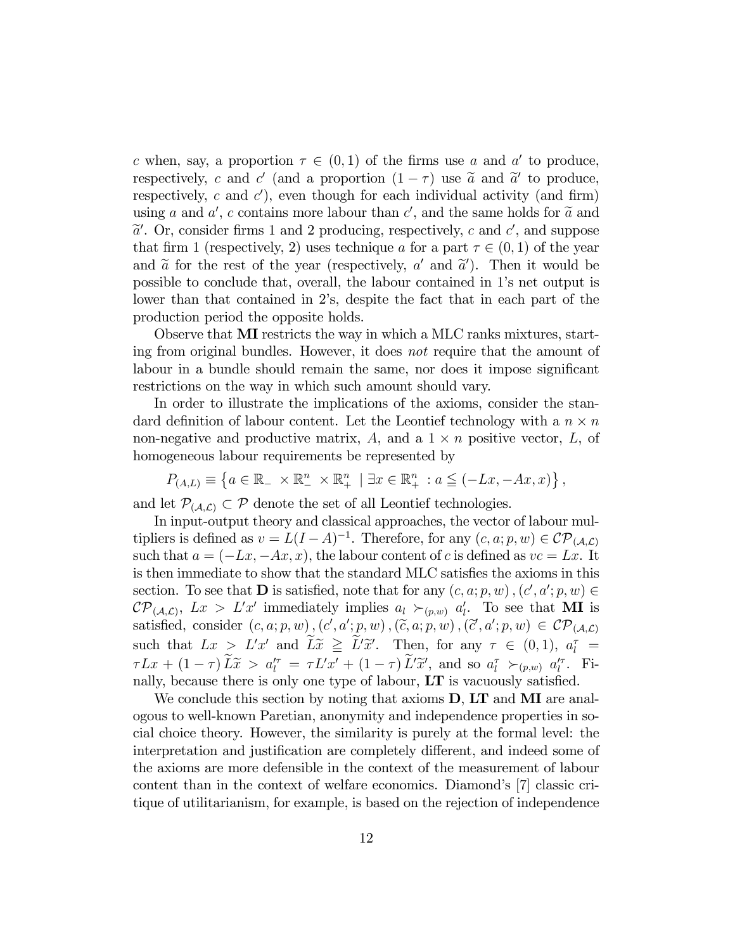c when, say, a proportion  $\tau \in (0,1)$  of the firms use a and a' to produce, respectively, c and c' (and a proportion  $(1 - \tau)$  use  $\tilde{a}$  and  $\tilde{a}'$  to produce, respectively, c and  $c'$ ), even though for each individual activity (and firm) using a and a', c contains more labour than c', and the same holds for  $\tilde{a}$  and  $\tilde{a}'$ . On aggricular forms 1 and 9 and 2 and 2 and 2 and 2 and 4 and 3 and 3  $\tilde{a}'$ . Or, consider firms 1 and 2 producing, respectively, c and c', and suppose that firm 1 (respectively, 2) uses technique a for a part  $\tau \in (0,1)$  of the year and  $\tilde{a}$  for the rest of the year (respectively,  $a'$  and  $\tilde{a}'$ ). Then it would be possible to conclude that, overall, the labour contained in 1ís net output is lower than that contained in 2's, despite the fact that in each part of the production period the opposite holds.

Observe that MI restricts the way in which a MLC ranks mixtures, starting from original bundles. However, it does not require that the amount of labour in a bundle should remain the same, nor does it impose significant restrictions on the way in which such amount should vary.

In order to illustrate the implications of the axioms, consider the standard definition of labour content. Let the Leontief technology with a  $n \times n$ non-negative and productive matrix,  $A$ , and a  $1 \times n$  positive vector,  $L$ , of homogeneous labour requirements be represented by

$$
P_{(A,L)} \equiv \left\{ a \in \mathbb{R}_- \times \mathbb{R}_-^n \times \mathbb{R}_+^n \mid \exists x \in \mathbb{R}_+^n : a \leq (-Lx, -Ax, x) \right\},\,
$$

and let  $\mathcal{P}_{(A,\mathcal{L})} \subset \mathcal{P}$  denote the set of all Leontief technologies.

In input-output theory and classical approaches, the vector of labour multipliers is defined as  $v = L(I - A)^{-1}$ . Therefore, for any  $(c, a; p, w) \in \mathcal{CP}_{(A, \mathcal{L})}$ such that  $a = (-Lx, -Ax, x)$ , the labour content of c is defined as  $vc = Lx$ . It is then immediate to show that the standard MLC satisfies the axioms in this section. To see that **D** is satisfied, note that for any  $(c, a; p, w)$ ,  $(c', a'; p, w) \in$  $\mathcal{CP}_{(\mathcal{A},\mathcal{L})}, \ Lx > L'x' \text{ immediately implies } a_l \succ_{(p,w)} a'_l. \text{ To see that } \textbf{MI} \text{ is }$ satisfied, consider  $(c, a; p, w)$ ,  $(c', a'; p, w)$ ,  $(\tilde{c}, a; p, w)$ ,  $(\tilde{c}', a'; p, w) \in \mathcal{CP}_{(\mathcal{A}, \mathcal{L})}$ such that  $Lx > L'x'$  and  $\widetilde{Lx} \geq \widetilde{L'x'}$ . Then, for any  $\tau \in (0,1)$ ,  $a_l^{\tau} =$  $\tau Lx + (1 - \tau) L\tilde{x} > a_l^{\prime \tau} = \tau L'x' + (1 - \tau) L'\tilde{x}',$  and so  $a_l^{\tau} >_{(p,w)} a_l^{\prime \tau}$ . Finally, because there is only one type of labour,  $LT$  is vacuously satisfied.

We conclude this section by noting that axioms **D**, **LT** and **MI** are analogous to well-known Paretian, anonymity and independence properties in social choice theory. However, the similarity is purely at the formal level: the interpretation and justification are completely different, and indeed some of the axioms are more defensible in the context of the measurement of labour content than in the context of welfare economics. Diamond's [7] classic critique of utilitarianism, for example, is based on the rejection of independence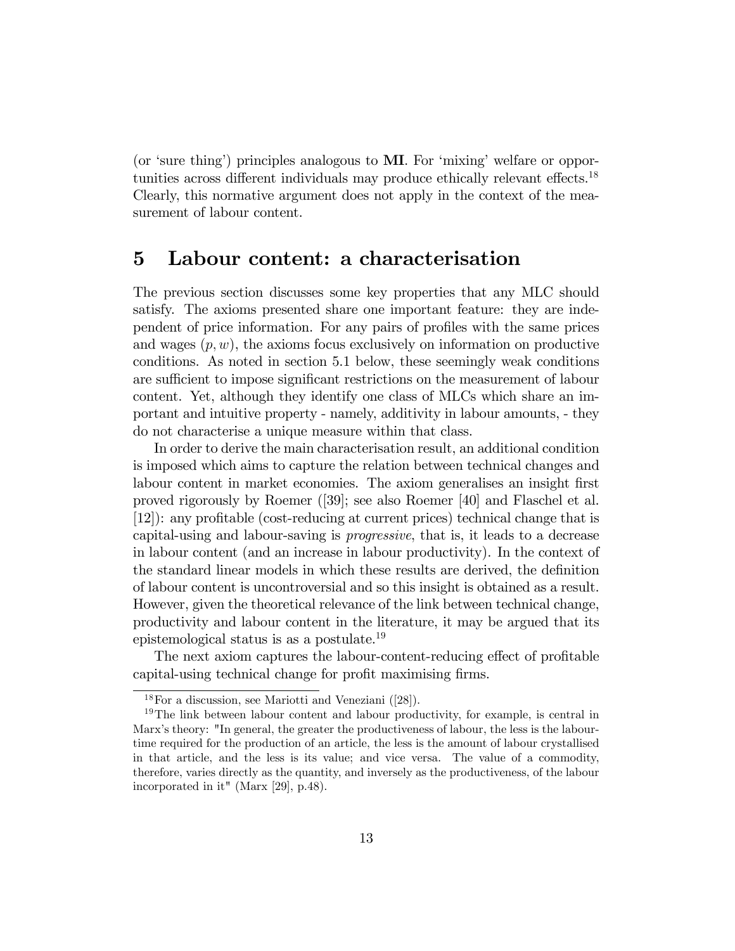(or 'sure thing') principles analogous to  $\overline{M}$ . For 'mixing' welfare or opportunities across different individuals may produce ethically relevant effects.<sup>18</sup> Clearly, this normative argument does not apply in the context of the measurement of labour content.

#### 5 Labour content: a characterisation

The previous section discusses some key properties that any MLC should satisfy. The axioms presented share one important feature: they are independent of price information. For any pairs of profiles with the same prices and wages  $(p, w)$ , the axioms focus exclusively on information on productive conditions. As noted in section 5.1 below, these seemingly weak conditions are sufficient to impose significant restrictions on the measurement of labour content. Yet, although they identify one class of MLCs which share an important and intuitive property - namely, additivity in labour amounts, - they do not characterise a unique measure within that class.

In order to derive the main characterisation result, an additional condition is imposed which aims to capture the relation between technical changes and labour content in market economies. The axiom generalises an insight first proved rigorously by Roemer ([39]; see also Roemer [40] and Flaschel et al. [12]): any proÖtable (cost-reducing at current prices) technical change that is capital-using and labour-saving is progressive, that is, it leads to a decrease in labour content (and an increase in labour productivity). In the context of the standard linear models in which these results are derived, the definition of labour content is uncontroversial and so this insight is obtained as a result. However, given the theoretical relevance of the link between technical change, productivity and labour content in the literature, it may be argued that its epistemological status is as a postulate.<sup>19</sup>

The next axiom captures the labour-content-reducing effect of profitable capital-using technical change for profit maximising firms.

<sup>18</sup>For a discussion, see Mariotti and Veneziani ([28]).

<sup>&</sup>lt;sup>19</sup>The link between labour content and labour productivity, for example, is central in Marx's theory: "In general, the greater the productiveness of labour, the less is the labourtime required for the production of an article, the less is the amount of labour crystallised in that article, and the less is its value; and vice versa. The value of a commodity, therefore, varies directly as the quantity, and inversely as the productiveness, of the labour incorporated in it" (Marx [29], p.48).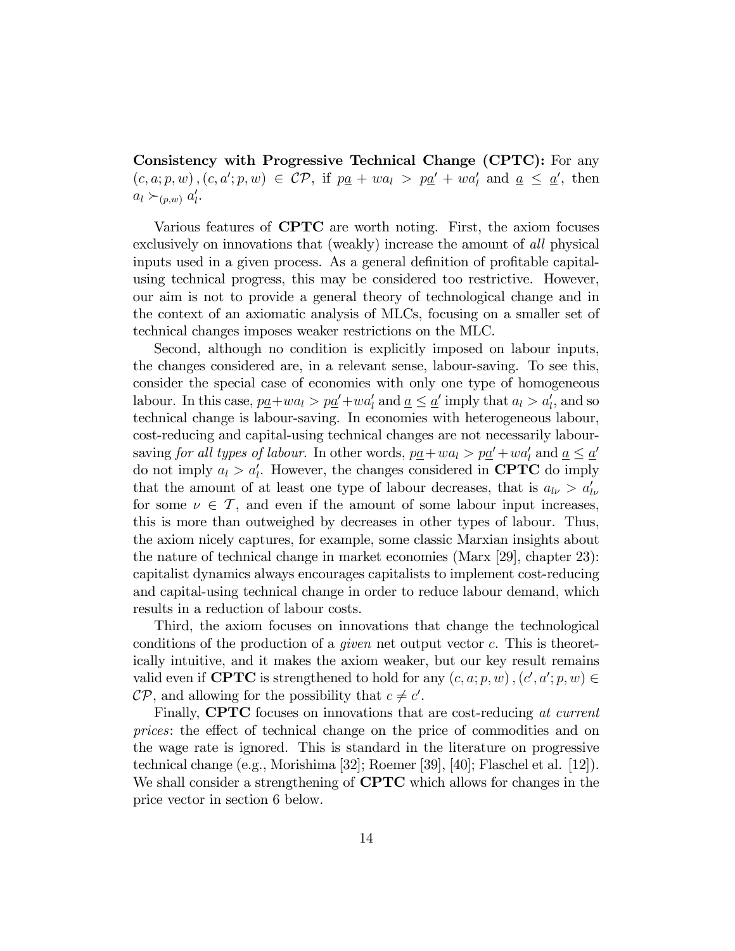Consistency with Progressive Technical Change (CPTC): For any  $(c, a; p, w), (c, a'; p, w) \in \mathcal{CP}$ , if  $p\underline{a} + wa_1 > p\underline{a}' + wa'_1$  and  $\underline{a} \leq \underline{a}'$ , then  $a_l \succ_{(p,w)} a'_l$ .

Various features of CPTC are worth noting. First, the axiom focuses exclusively on innovations that (weakly) increase the amount of all physical inputs used in a given process. As a general definition of profitable capitalusing technical progress, this may be considered too restrictive. However, our aim is not to provide a general theory of technological change and in the context of an axiomatic analysis of MLCs, focusing on a smaller set of technical changes imposes weaker restrictions on the MLC.

Second, although no condition is explicitly imposed on labour inputs, the changes considered are, in a relevant sense, labour-saving. To see this, consider the special case of economies with only one type of homogeneous labour. In this case,  $p\underline{a}+wa_l > p\underline{a'}+wa'_l$  and  $\underline{a} \leq \underline{a'}$  imply that  $a_l > a'_l$ , and so technical change is labour-saving. In economies with heterogeneous labour, cost-reducing and capital-using technical changes are not necessarily laboursaving for all types of labour. In other words,  $p\underline{a} + wa_l > p\underline{a}' + wa'_l$  and  $\underline{a} \leq \underline{a}'$ do not imply  $a_l > a'_l$ . However, the changes considered in **CPTC** do imply that the amount of at least one type of labour decreases, that is  $a_{l\nu} > a'_{l\nu}$ for some  $\nu \in \mathcal{T}$ , and even if the amount of some labour input increases, this is more than outweighed by decreases in other types of labour. Thus, the axiom nicely captures, for example, some classic Marxian insights about the nature of technical change in market economies (Marx [29], chapter 23): capitalist dynamics always encourages capitalists to implement cost-reducing and capital-using technical change in order to reduce labour demand, which results in a reduction of labour costs.

Third, the axiom focuses on innovations that change the technological conditions of the production of a given net output vector c. This is theoretically intuitive, and it makes the axiom weaker, but our key result remains valid even if **CPTC** is strengthened to hold for any  $(c, a; p, w)$ ,  $(c', a'; p, w) \in$  $\mathcal{CP}$ , and allowing for the possibility that  $c \neq c'$ .

Finally, **CPTC** focuses on innovations that are cost-reducing at current prices: the effect of technical change on the price of commodities and on the wage rate is ignored. This is standard in the literature on progressive technical change (e.g., Morishima [32]; Roemer [39], [40]; Flaschel et al. [12]). We shall consider a strengthening of **CPTC** which allows for changes in the price vector in section 6 below.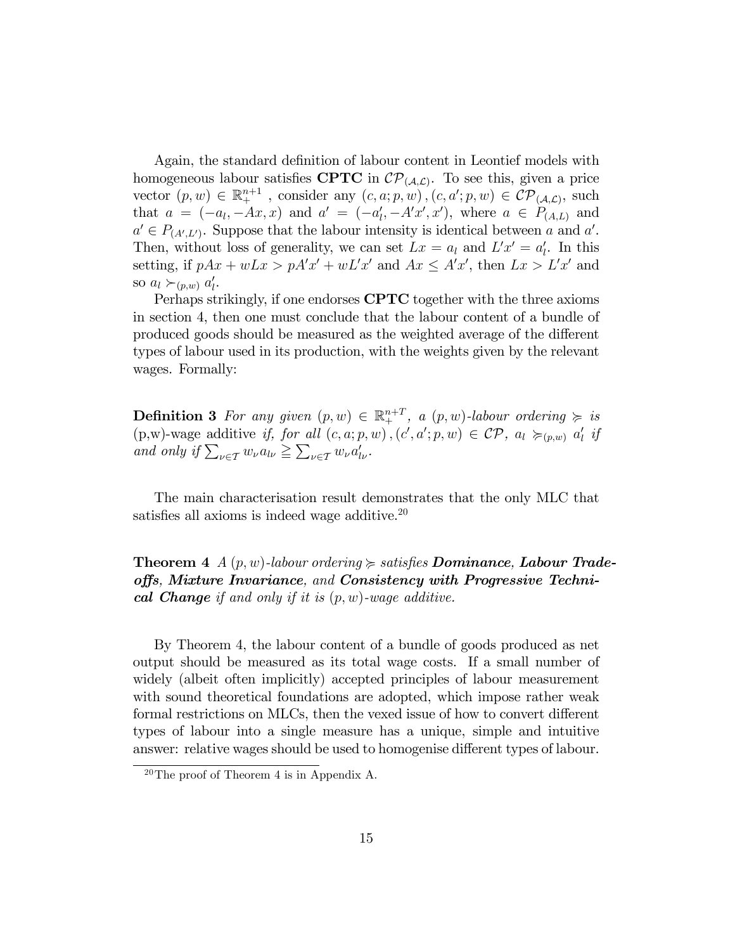Again, the standard definition of labour content in Leontief models with homogeneous labour satisfies **CPTC** in  $\mathcal{CP}_{(\mathcal{A},\mathcal{L})}$ . To see this, given a price vector  $(p, w) \in \mathbb{R}^{n+1}_+$ , consider any  $(c, a; p, w)$ ,  $(c, a'; p, w) \in \mathcal{CP}_{(\mathcal{A}, \mathcal{L})}$ , such that  $a = (-a_l, -Ax, x)$  and  $a' = (-a'_l, -A'x', x')$ , where  $a \in P_{(A,L)}$  and  $a' \in P_{(A',L')}$ . Suppose that the labour intensity is identical between a and a'. Then, without loss of generality, we can set  $Lx = a_l$  and  $L'x' = a'_l$ . In this setting, if  $pAx + wLx > pA'x' + wL'x'$  and  $Ax \leq A'x'$ , then  $Lx > L'x'$  and so  $a_l \succ_{(p,w)} a'_l$ .

Perhaps strikingly, if one endorses CPTC together with the three axioms in section 4, then one must conclude that the labour content of a bundle of produced goods should be measured as the weighted average of the different types of labour used in its production, with the weights given by the relevant wages. Formally:

**Definition 3** For any given  $(p, w) \in \mathbb{R}^{n+T}_+$ , a  $(p, w)$ -labour ordering  $\succeq$  is  $(p,w)$ -wage additive if, for all  $(c, a; p, w)$ ,  $(c', a'; p, w) \in \mathcal{CP}$ ,  $a_l \succcurlyeq_{(p,w)} a'_l$  if and only if  $\sum_{\nu \in \mathcal{T}} w_{\nu} a_{l\nu} \ge \sum_{\nu \in \mathcal{T}} w_{\nu} a'_{l\nu}$ .

The main characterisation result demonstrates that the only MLC that satisfies all axioms is indeed wage additive. $20$ 

**Theorem 4**  $A(p, w)$ -labour ordering  $\succeq$  satisfies **Dominance**, **Labour Trade**offs, Mixture Invariance, and Consistency with Progressive Technical Change if and only if it is  $(p, w)$ -wage additive.

By Theorem 4, the labour content of a bundle of goods produced as net output should be measured as its total wage costs. If a small number of widely (albeit often implicitly) accepted principles of labour measurement with sound theoretical foundations are adopted, which impose rather weak formal restrictions on MLCs, then the vexed issue of how to convert different types of labour into a single measure has a unique, simple and intuitive answer: relative wages should be used to homogenise different types of labour.

<sup>20</sup>The proof of Theorem 4 is in Appendix A.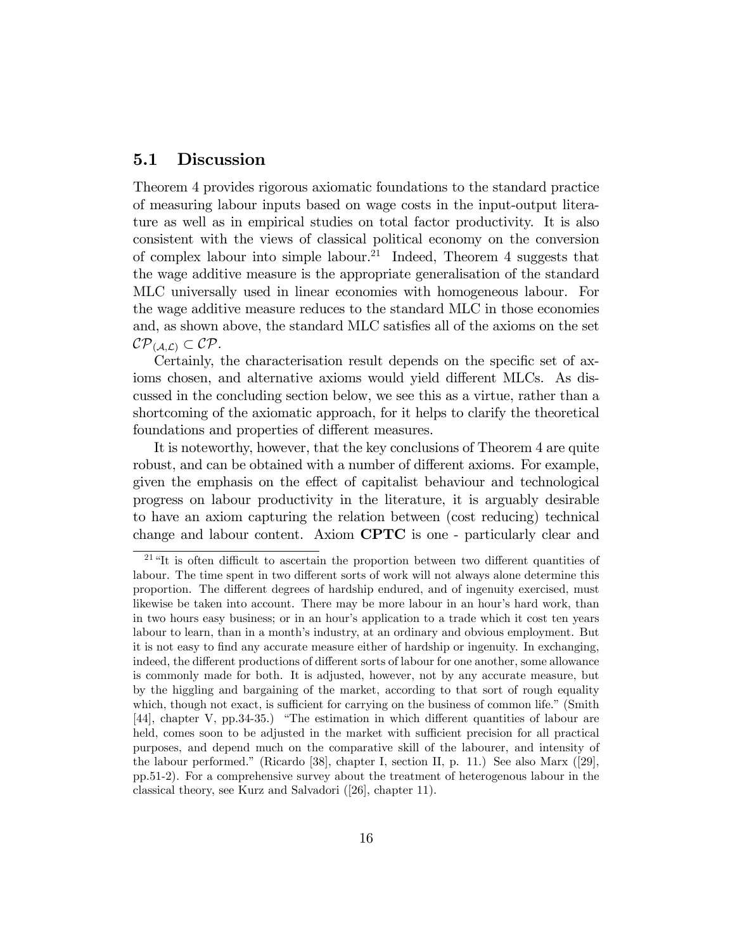#### 5.1 Discussion

Theorem 4 provides rigorous axiomatic foundations to the standard practice of measuring labour inputs based on wage costs in the input-output literature as well as in empirical studies on total factor productivity. It is also consistent with the views of classical political economy on the conversion of complex labour into simple labour.<sup>21</sup> Indeed, Theorem 4 suggests that the wage additive measure is the appropriate generalisation of the standard MLC universally used in linear economies with homogeneous labour. For the wage additive measure reduces to the standard MLC in those economies and, as shown above, the standard MLC satisfies all of the axioms on the set  $\mathcal{CP}_{(\mathcal{A},\mathcal{L})} \subset \mathcal{CP}.$ 

Certainly, the characterisation result depends on the specific set of axioms chosen, and alternative axioms would yield different MLCs. As discussed in the concluding section below, we see this as a virtue, rather than a shortcoming of the axiomatic approach, for it helps to clarify the theoretical foundations and properties of different measures.

It is noteworthy, however, that the key conclusions of Theorem 4 are quite robust, and can be obtained with a number of different axioms. For example, given the emphasis on the effect of capitalist behaviour and technological progress on labour productivity in the literature, it is arguably desirable to have an axiom capturing the relation between (cost reducing) technical change and labour content. Axiom CPTC is one - particularly clear and

<sup>&</sup>lt;sup>21</sup> "It is often difficult to ascertain the proportion between two different quantities of labour. The time spent in two different sorts of work will not always alone determine this proportion. The different degrees of hardship endured, and of ingenuity exercised, must likewise be taken into account. There may be more labour in an hour's hard work, than in two hours easy business; or in an hour's application to a trade which it cost ten years labour to learn, than in a month's industry, at an ordinary and obvious employment. But it is not easy to find any accurate measure either of hardship or ingenuity. In exchanging, indeed, the different productions of different sorts of labour for one another, some allowance is commonly made for both. It is adjusted, however, not by any accurate measure, but by the higgling and bargaining of the market, according to that sort of rough equality which, though not exact, is sufficient for carrying on the business of common life." (Smith  $[44]$ , chapter V, pp.34-35.) "The estimation in which different quantities of labour are held, comes soon to be adjusted in the market with sufficient precision for all practical purposes, and depend much on the comparative skill of the labourer, and intensity of the labour performed.î (Ricardo [38], chapter I, section II, p. 11.) See also Marx ([29], pp.51-2). For a comprehensive survey about the treatment of heterogenous labour in the classical theory, see Kurz and Salvadori ([26], chapter 11).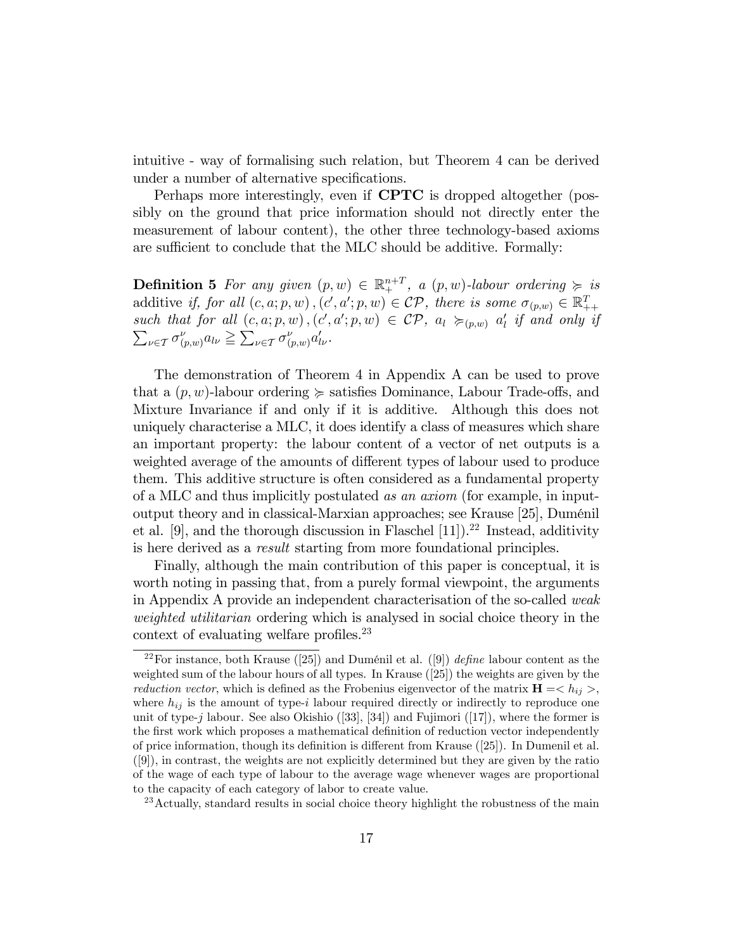intuitive - way of formalising such relation, but Theorem 4 can be derived under a number of alternative specifications.

Perhaps more interestingly, even if CPTC is dropped altogether (possibly on the ground that price information should not directly enter the measurement of labour content), the other three technology-based axioms are sufficient to conclude that the MLC should be additive. Formally:

**Definition 5** For any given  $(p, w) \in \mathbb{R}^{n+T}_+$ , a  $(p, w)$ -labour ordering  $\succeq$  is additive if, for all  $(c, a; p, w)$ ,  $(c', a'; p, w) \in \mathcal{CP}$ , there is some  $\sigma_{(p,w)} \in \mathbb{R}_{++}^T$ such that for all  $(c, a; p, w)$ ,  $(c', a'; p, w) \in \mathcal{CP}$ ,  $a_l \succcurlyeq_{(p,w)} a'_l$  if and only if  $\sum_{\nu \in \mathcal{T}} \sigma_{(p,w)}^{\nu} a_{l\nu} \geq \sum_{\nu \in \mathcal{T}} \sigma_{(p,w)}^{\nu} a_{l\nu}'$ .

The demonstration of Theorem 4 in Appendix A can be used to prove that a  $(p, w)$ -labour ordering  $\succeq$  satisfies Dominance, Labour Trade-offs, and Mixture Invariance if and only if it is additive. Although this does not uniquely characterise a MLC, it does identify a class of measures which share an important property: the labour content of a vector of net outputs is a weighted average of the amounts of different types of labour used to produce them. This additive structure is often considered as a fundamental property of a MLC and thus implicitly postulated as an axiom (for example, in inputoutput theory and in classical-Marxian approaches; see Krause [25], Duménil et al.  $[9]$ , and the thorough discussion in Flaschel  $[11]$ ).<sup>22</sup> Instead, additivity is here derived as a result starting from more foundational principles.

Finally, although the main contribution of this paper is conceptual, it is worth noting in passing that, from a purely formal viewpoint, the arguments in Appendix A provide an independent characterisation of the so-called weak weighted utilitarian ordering which is analysed in social choice theory in the context of evaluating welfare profiles. $^{23}$ 

<sup>&</sup>lt;sup>22</sup>For instance, both Krause ([25]) and Duménil et al. ([9]) *define* labour content as the weighted sum of the labour hours of all types. In Krause ([25]) the weights are given by the *reduction vector*, which is defined as the Frobenius eigenvector of the matrix  $H = \langle h_{ij} \rangle$ , where  $h_{ij}$  is the amount of type-i labour required directly or indirectly to reproduce one unit of type- $j$  labour. See also Okishio ([33], [34]) and Fujimori ([17]), where the former is the first work which proposes a mathematical definition of reduction vector independently of price information, though its definition is different from Krause  $(25)$ . In Dumenil et al. ([9]), in contrast, the weights are not explicitly determined but they are given by the ratio of the wage of each type of labour to the average wage whenever wages are proportional to the capacity of each category of labor to create value.

 $^{23}$  Actually, standard results in social choice theory highlight the robustness of the main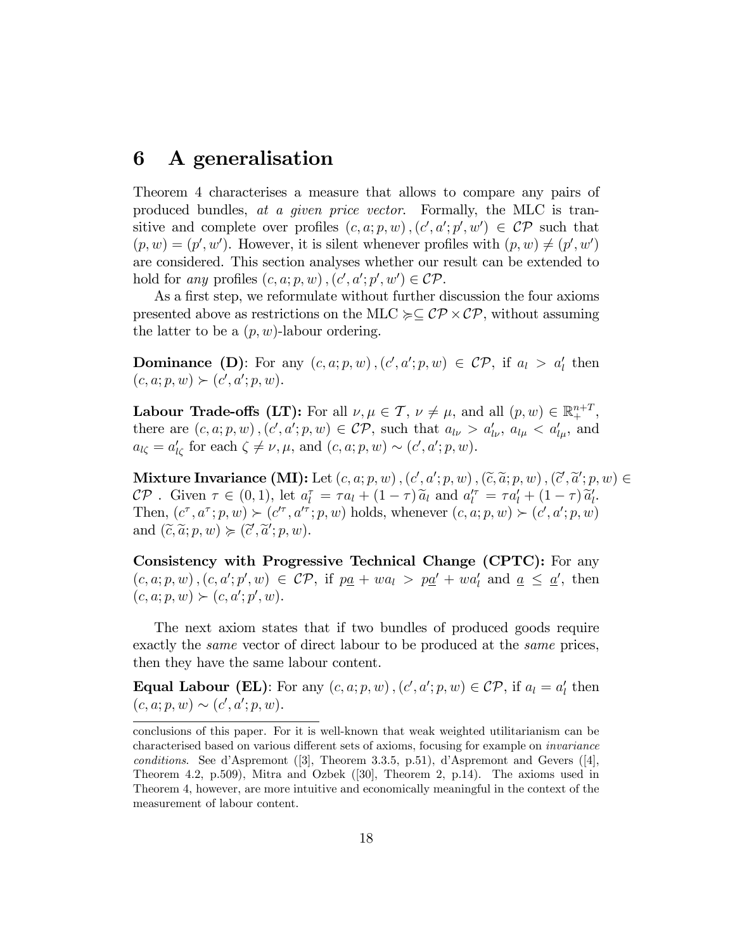#### 6 A generalisation

Theorem 4 characterises a measure that allows to compare any pairs of produced bundles, at a given price vector. Formally, the MLC is transitive and complete over profiles  $(c, a; p, w)$ ,  $(c', a'; p', w') \in \mathcal{CP}$  such that  $(p, w) = (p', w')$ . However, it is silent whenever profiles with  $(p, w) \neq (p', w')$ are considered. This section analyses whether our result can be extended to hold for any profiles  $(c, a; p, w)$ ,  $(c', a'; p', w') \in \mathcal{CP}$ .

As a first step, we reformulate without further discussion the four axioms presented above as restrictions on the MLC  $\succcurlyeq \subseteq \mathcal{CP} \times \mathcal{CP}$ , without assuming the latter to be a  $(p, w)$ -labour ordering.

**Dominance** (**D**): For any  $(c, a; p, w)$ ,  $(c', a'; p, w) \in \mathcal{CP}$ , if  $a_l > a'_l$  then  $(c, a; p, w) \succ (c', a'; p, w).$ 

**Labour Trade-offs (LT):** For all  $\nu, \mu \in \mathcal{T}$ ,  $\nu \neq \mu$ , and all  $(p, w) \in \mathbb{R}^{n+T}$ , there are  $(c, a; p, w)$ ,  $(c', a'; p, w) \in \mathcal{CP}$ , such that  $a_{l\nu} > a'_{l\nu}$ ,  $a_{l\mu} < a'_{l\mu}$ , and  $a_{l\zeta} = a'_{l\zeta}$  for each  $\zeta \neq \nu, \mu$ , and  $(c, a; p, w) \sim (c', a'; p, w)$ .

Mixture Invariance (MI): Let  $(c, a; p, w)$ ,  $(c', a'; p, w)$ ,  $(\widetilde{c}, \widetilde{a}; p, w)$ ,  $(\widetilde{c}', \widetilde{a}'; p, w) \in$  $\mathcal{CP}$ . Given  $\tau \in (0,1)$ , let  $a_l^{\tau} = \tau a_l + (1-\tau) \widetilde{a}_l$  and  $a_l^{\prime \tau} = \tau a_l^{\prime} + (1-\tau) \widetilde{a}_l^{\prime}$ . Then,  $(c^{\tau}, a^{\tau}; p, w) \succ (c'^{\tau}, a'^{\tau}; p, w)$  holds, whenever  $(c, a; p, w) \succ (c', a'; p, w)$ and  $(\widetilde{c}, \widetilde{a}; p, w) \succcurlyeq (\widetilde{c}', \widetilde{a}'; p, w)$ .

Consistency with Progressive Technical Change (CPTC): For any  $(c, a; p, w), (c, a'; p', w) \in \mathcal{CP}$ , if  $p\underline{a} + w a_l > p\underline{a}' + w a'_l$  and  $\underline{a} \leq \underline{a}'$ , then  $(c, a; p, w) \succ (c, a'; p', w).$ 

The next axiom states that if two bundles of produced goods require exactly the *same* vector of direct labour to be produced at the *same* prices, then they have the same labour content.

**Equal Labour (EL)**: For any  $(c, a; p, w)$ ,  $(c', a'; p, w) \in \mathcal{CP}$ , if  $a_l = a'_l$  then  $(c, a; p, w) \sim (c', a'; p, w).$ 

conclusions of this paper. For it is well-known that weak weighted utilitarianism can be characterised based on various different sets of axioms, focusing for example on *invariance* conditions. See d'Aspremont  $(3]$ , Theorem 3.3.5, p.51), d'Aspremont and Gevers  $(4]$ , Theorem 4.2, p.509), Mitra and Ozbek ([30], Theorem 2, p.14). The axioms used in Theorem 4, however, are more intuitive and economically meaningful in the context of the measurement of labour content.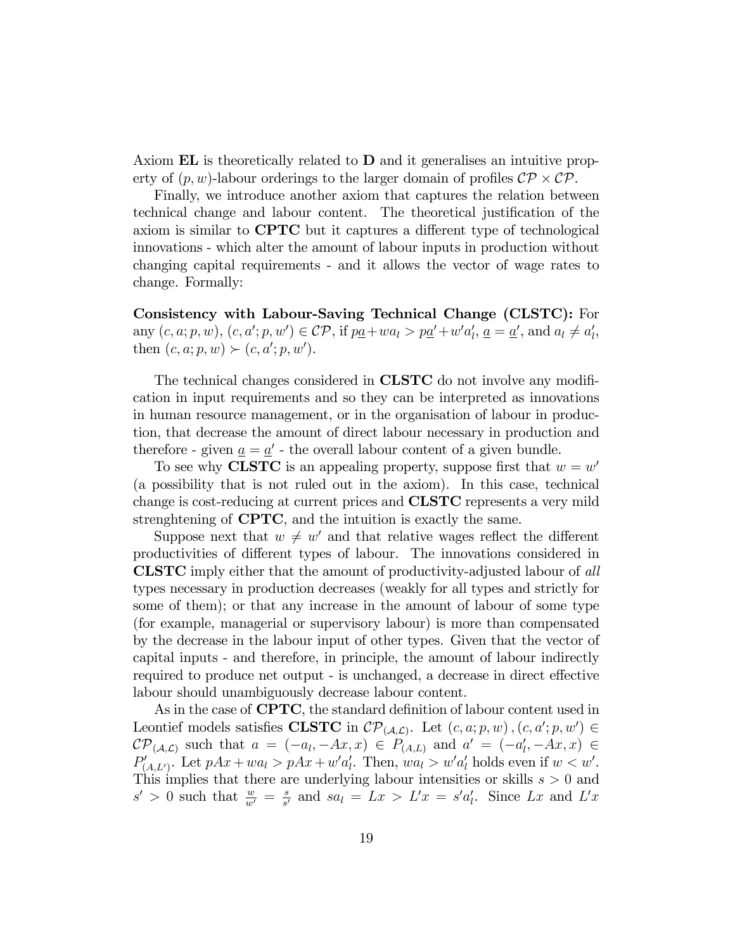Axiom  $EL$  is theoretically related to  $D$  and it generalises an intuitive property of  $(p, w)$ -labour orderings to the larger domain of profiles  $\mathcal{CP} \times \mathcal{CP}$ .

Finally, we introduce another axiom that captures the relation between technical change and labour content. The theoretical justification of the axiom is similar to **CPTC** but it captures a different type of technological innovations - which alter the amount of labour inputs in production without changing capital requirements - and it allows the vector of wage rates to change. Formally:

Consistency with Labour-Saving Technical Change (CLSTC): For  $\text{any } (c, a; p, w), (c, a'; p, w') \in \mathcal{CP}, \text{ if } p\underline{a} + wa_l > p\underline{a}' + w'a'_l, \underline{a} = \underline{a}' \text{, and } a_l \neq a'_l,$ then  $(c, a; p, w) \succ (c, a'; p, w').$ 

The technical changes considered in **CLSTC** do not involve any modification in input requirements and so they can be interpreted as innovations in human resource management, or in the organisation of labour in production, that decrease the amount of direct labour necessary in production and therefore - given  $\underline{a} = \underline{a}'$  - the overall labour content of a given bundle.

To see why **CLSTC** is an appealing property, suppose first that  $w = w'$ (a possibility that is not ruled out in the axiom). In this case, technical change is cost-reducing at current prices and CLSTC represents a very mild strenghtening of CPTC, and the intuition is exactly the same.

Suppose next that  $w \neq w'$  and that relative wages reflect the different productivities of different types of labour. The innovations considered in CLSTC imply either that the amount of productivity-adjusted labour of all types necessary in production decreases (weakly for all types and strictly for some of them); or that any increase in the amount of labour of some type (for example, managerial or supervisory labour) is more than compensated by the decrease in the labour input of other types. Given that the vector of capital inputs - and therefore, in principle, the amount of labour indirectly required to produce net output - is unchanged, a decrease in direct effective labour should unambiguously decrease labour content.

As in the case of **CPTC**, the standard definition of labour content used in Leontief models satisfies CLSTC in  $\mathcal{CP}_{(\mathcal{A}, \mathcal{L})}$ . Let  $(c, a; p, w)$ ,  $(c, a'; p, w') \in$  $\mathcal{CP}_{(\mathcal{A},\mathcal{L})}$  such that  $a = (-a_l, -Ax, x) \in P_{(\mathcal{A},\mathcal{L})}$  and  $a' = (-a'_l, -Ax, x) \in$  $P'_{(A,L')}$ . Let  $pAx + wa_l > pAx + w'a'_l$ . Then,  $wa_l > w'a'_l$  holds even if  $w < w'$ . This implies that there are underlying labour intensities or skills  $s > 0$  and  $s' > 0$  such that  $\frac{w}{w'} = \frac{s}{s'}$  $\frac{s}{s'}$  and  $sa_l = Lx > L'x = s'a'_l$ . Since Lx and L'x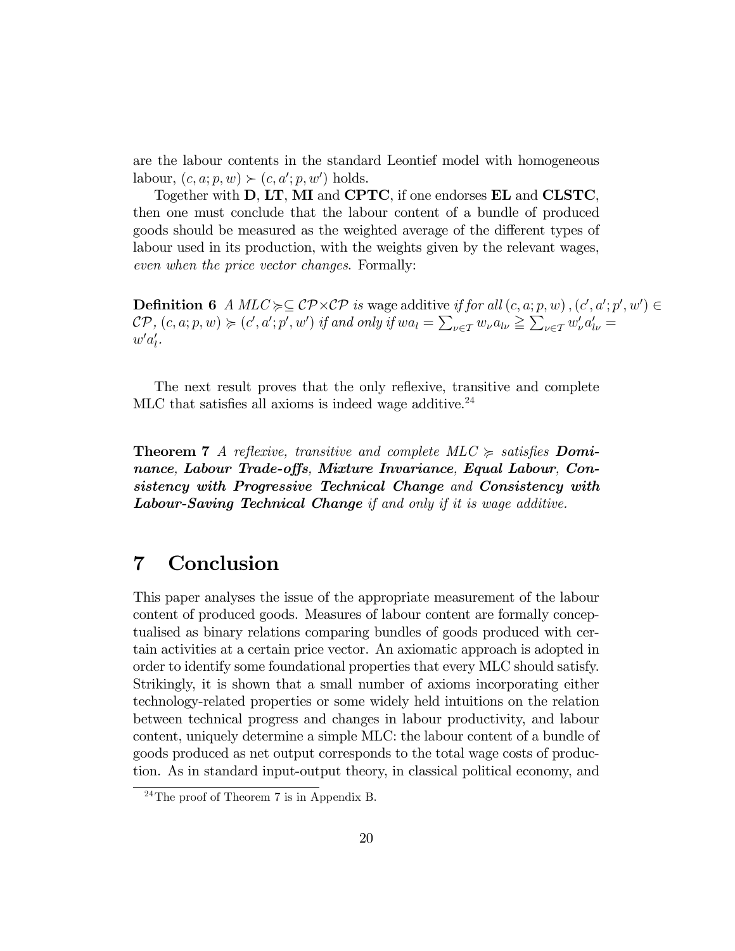are the labour contents in the standard Leontief model with homogeneous labour,  $(c, a; p, w) \succ (c, a'; p, w')$  holds.

Together with D, LT, MI and CPTC, if one endorses EL and CLSTC, then one must conclude that the labour content of a bundle of produced goods should be measured as the weighted average of the different types of labour used in its production, with the weights given by the relevant wages, even when the price vector changes. Formally:

**Definition 6**  $A$   $MLC \geq C$   $P \times CP$  is wage additive if for all  $(c, a; p, w)$ ,  $(c', a'; p', w') \in$  $\mathcal{CP}, (c, a; p, w) \succcurlyeq (c', a'; p', w') \text{ if and only if } wa_l = \sum_{\nu \in \mathcal{T}} w_{\nu} a_{l\nu} \geqq \sum_{\nu \in \mathcal{T}} w'_{\nu} a'_{l\nu} =$  $w'a'_{l}$ .

The next result proves that the only reflexive, transitive and complete MLC that satisfies all axioms is indeed wage additive.<sup>24</sup>

**Theorem 7** A reflexive, transitive and complete  $MLC \geq satisfies$  **Domi**nance, Labour Trade-offs, Mixture Invariance, Equal Labour, Consistency with Progressive Technical Change and Consistency with Labour-Saving Technical Change if and only if it is wage additive.

### 7 Conclusion

This paper analyses the issue of the appropriate measurement of the labour content of produced goods. Measures of labour content are formally conceptualised as binary relations comparing bundles of goods produced with certain activities at a certain price vector. An axiomatic approach is adopted in order to identify some foundational properties that every MLC should satisfy. Strikingly, it is shown that a small number of axioms incorporating either technology-related properties or some widely held intuitions on the relation between technical progress and changes in labour productivity, and labour content, uniquely determine a simple MLC: the labour content of a bundle of goods produced as net output corresponds to the total wage costs of production. As in standard input-output theory, in classical political economy, and

 $^{24}$ The proof of Theorem 7 is in Appendix B.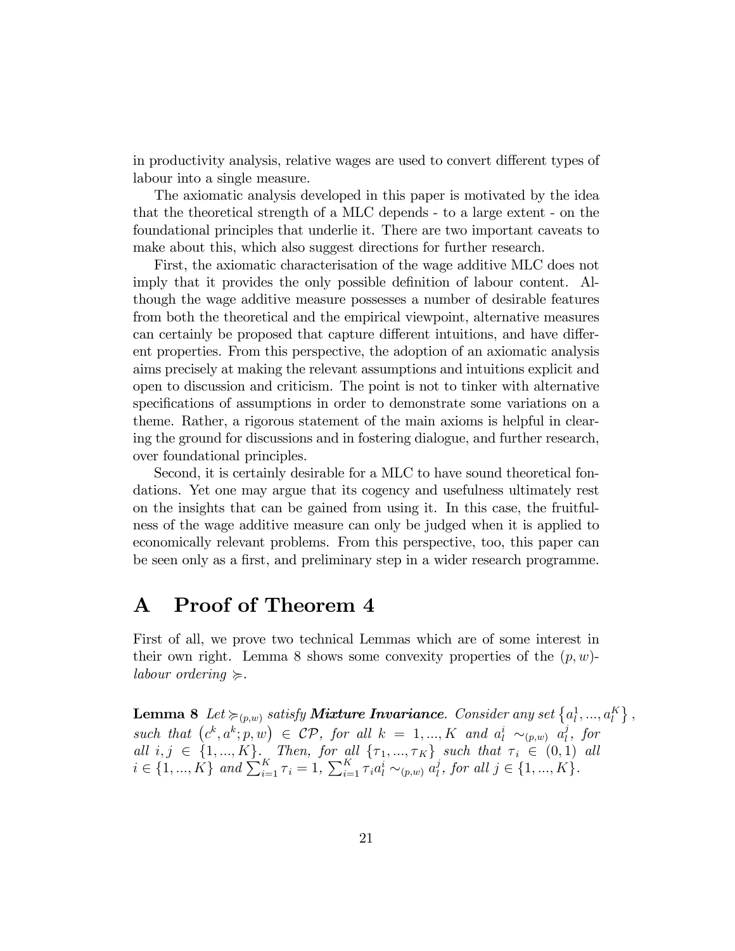in productivity analysis, relative wages are used to convert different types of labour into a single measure.

The axiomatic analysis developed in this paper is motivated by the idea that the theoretical strength of a MLC depends - to a large extent - on the foundational principles that underlie it. There are two important caveats to make about this, which also suggest directions for further research.

First, the axiomatic characterisation of the wage additive MLC does not imply that it provides the only possible definition of labour content. Although the wage additive measure possesses a number of desirable features from both the theoretical and the empirical viewpoint, alternative measures can certainly be proposed that capture different intuitions, and have different properties. From this perspective, the adoption of an axiomatic analysis aims precisely at making the relevant assumptions and intuitions explicit and open to discussion and criticism. The point is not to tinker with alternative specifications of assumptions in order to demonstrate some variations on a theme. Rather, a rigorous statement of the main axioms is helpful in clearing the ground for discussions and in fostering dialogue, and further research, over foundational principles.

Second, it is certainly desirable for a MLC to have sound theoretical fondations. Yet one may argue that its cogency and usefulness ultimately rest on the insights that can be gained from using it. In this case, the fruitfulness of the wage additive measure can only be judged when it is applied to economically relevant problems. From this perspective, too, this paper can be seen only as a first, and preliminary step in a wider research programme.

#### A Proof of Theorem 4

First of all, we prove two technical Lemmas which are of some interest in their own right. Lemma 8 shows some convexity properties of the  $(p, w)$ labour ordering  $\succeq$ .

Lemma 8 Let  $\succcurlyeq_{(p,w)}$  satisfy **Mixture Invariance**. Consider any set  $\left\{a^1_l, ..., a^K_l\right\}$ , such that  $(c^k, a^k; p, w) \in \mathcal{CP}$ , for all  $k = 1, ..., K$  and  $a_l^i \sim_{(p,w)} a_l^j$  $\iota$ , for all  $i, j \in \{1, ..., K\}$ . Then, for all  $\{\tau_1, ..., \tau_K\}$  such that  $\tau_i \in (0,1)$  all  $i \in \{1, ..., K\}$  and  $\sum_{i=1}^{K} \tau_i = 1$ ,  $\sum_{i=1}^{K} \tau_i a_i^i \sim_{(p,w)} a_i^j$  $_{l}^{j},$  for all  $j \in \{1, ..., K\}.$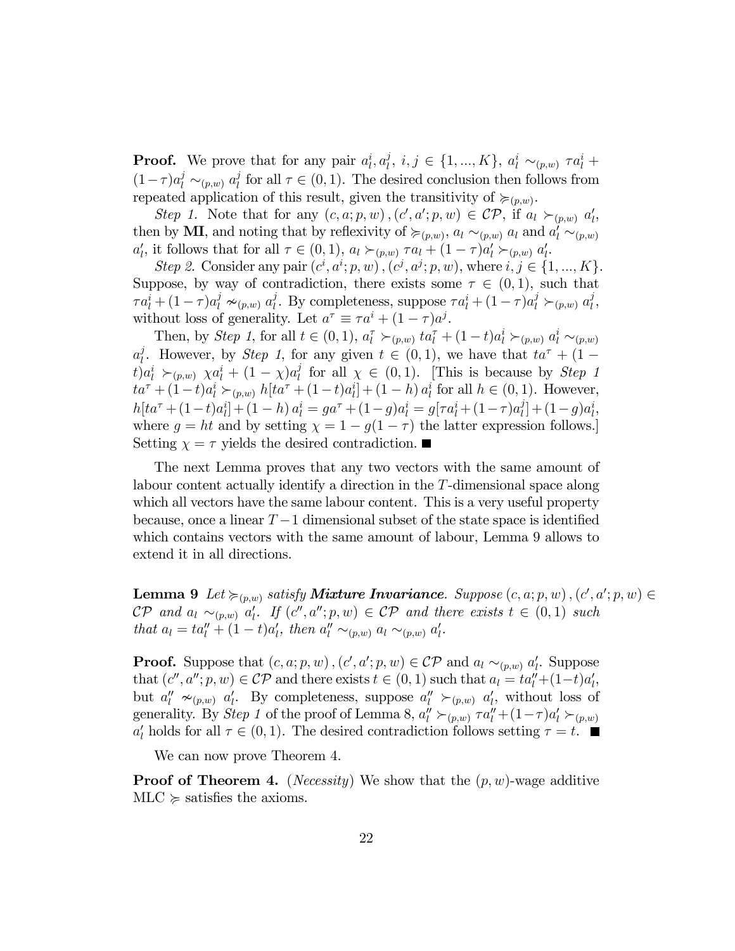**Proof.** We prove that for any pair  $a_l^i, a_l^j$  $\{i, i, j \in \{1, ..., K\}, \ a_i^i \sim_{(p,w)} \tau a_i^i +$  $(1-\tau)a_l^j \sim_{(p,w)} a_l^j$  $\tau_l^j$  for all  $\tau \in (0, 1)$ . The desired conclusion then follows from repeated application of this result, given the transitivity of  $\succcurlyeq_{(p,w)}$ .

Step 1. Note that for any  $(c, a; p, w)$ ,  $(c', a'; p, w) \in \mathcal{CP}$ , if  $a_l \succ_{(p,w)} a'_l$ , then by **MI**, and noting that by reflexivity of  $\succcurlyeq_{(p,w)}$ ,  $a_l \sim_{(p,w)} a_l$  and  $a'_l \sim_{(p,w)} a_l$  $a'_l$ , it follows that for all  $\tau \in (0,1)$ ,  $a_l \succ_{(p,w)} \tau a_l + (1-\tau)a'_l \succ_{(p,w)} a'_l$ .

Step 2. Consider any pair  $(c^i, a^i; p, w)$ ,  $(c^j, a^j; p, w)$ , where  $i, j \in \{1, ..., K\}$ . Suppose, by way of contradiction, there exists some  $\tau \in (0,1)$ , such that  $\tau a_l^i + (1 - \tau) a_l^j \sim_{(p,w)} a_l^j$ <sup>j</sup>. By completeness, suppose  $\tau a_l^i + (1 - \tau) a_l^j \succ_{(p,w)} a_l^j$  $_{l}^{\jmath},$ without loss of generality. Let  $a^{\tau} \equiv \tau a^i + (1 - \tau) a^j$ .

Then, by Step 1, for all  $t \in (0, 1)$ ,  $a_l^{\tau} \succ_{(p,w)} ta_l^{\tau} + (1-t)a_l^i \succ_{(p,w)} a_l^i \sim_{(p,w)}$  $a_l^j$ <sup>j</sup>. However, by *Step 1*, for any given  $t \in (0,1)$ , we have that  $ta^{\tau} + (1 (t) a_l^i \succ_{(p,w)} \chi a_l^i + (1-\chi) a_l^j$  $\ell_l^j$  for all  $\chi \in (0,1)$ . [This is because by *Step 1*]  $ta^{\tau} + (1-t)a_l^i \succ_{(p,w)} h[ta^{\tau} + (1-t)a_l^i] + (1-h)a_l^i$  for all  $h \in (0,1)$ . However,  $h[ta^{\tau} + (1-t)a_l^i] + (1-h) a_l^i = ga^{\tau} + (1-g)a_l^i = g[\tau a_l^i + (1-\tau)a_l^i]$  $\begin{array}{c} [a]_l \\ [b]_l \end{array} + (1-g)a_l^i,$ where  $g = ht$  and by setting  $\chi = 1 - g(1 - \tau)$  the latter expression follows. Setting  $\chi = \tau$  yields the desired contradiction.

The next Lemma proves that any two vectors with the same amount of labour content actually identify a direction in the T-dimensional space along which all vectors have the same labour content. This is a very useful property because, once a linear  $T-1$  dimensional subset of the state space is identified which contains vectors with the same amount of labour, Lemma 9 allows to extend it in all directions.

**Lemma 9** Let  $\succcurlyeq_{(p,w)}$  satisfy **Mixture Invariance**. Suppose  $(c, a; p, w)$ ,  $(c', a'; p, w) \in$  $\mathcal{CP}$  and  $a_l \sim_{(p,w)} a'_l$ . If  $(c'', a''; p, w) \in \mathcal{CP}$  and there exists  $t \in (0,1)$  such that  $a_l = ta_l'' + (1-t)a_l',$  then  $a_l'' \sim_{(p,w)} a_l \sim_{(p,w)} a_l'.$ 

**Proof.** Suppose that  $(c, a; p, w)$ ,  $(c', a'; p, w) \in \mathcal{CP}$  and  $a_l \sim_{(p,w)} a'_l$ . Suppose that  $(c'', a''; p, w) \in \mathcal{CP}$  and there exists  $t \in (0, 1)$  such that  $a_l = ta''_l + (1-t)a'_l$ , but  $a''_l \nsim_{(p,w)} a'_l$ . By completeness, suppose  $a''_l \simsim_{(p,w)} a'_l$ , without loss of generality. By Step 1 of the proof of Lemma 8,  $a_l'' \succ_{(p,w)} \tau a_l'' + (1-\tau)a_l' \succ_{(p,w)}$  $a'_l$  holds for all  $\tau \in (0, 1)$ . The desired contradiction follows setting  $\tau = t$ .

We can now prove Theorem 4.

**Proof of Theorem 4.** (*Necessity*) We show that the  $(p, w)$ -wage additive  $MLC \geq$  satisfies the axioms.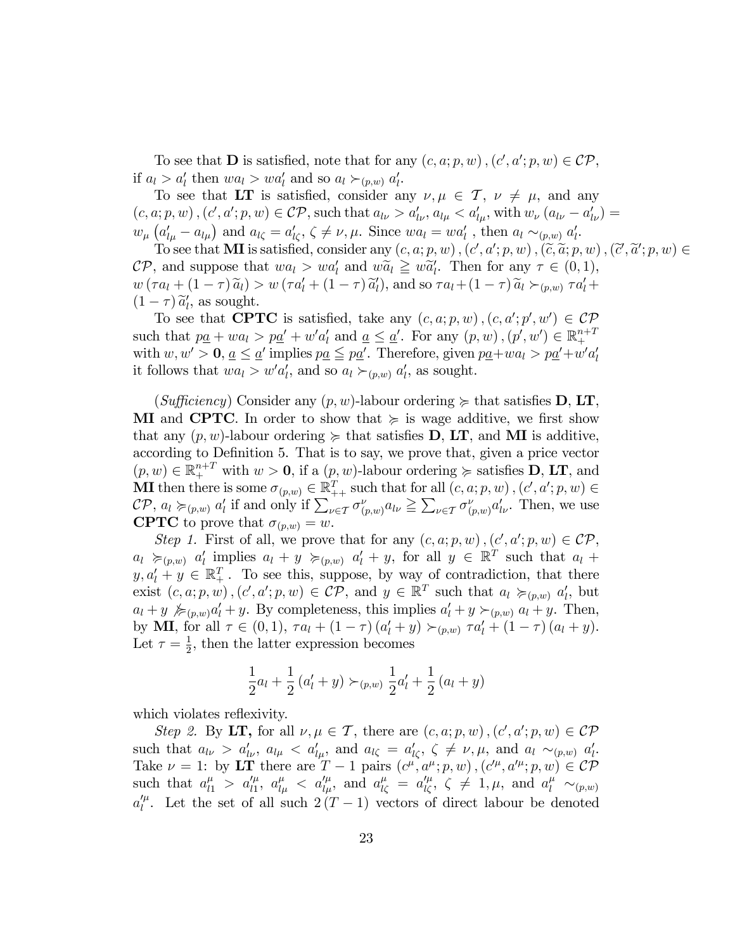To see that **D** is satisfied, note that for any  $(c, a; p, w)$ ,  $(c', a'; p, w) \in \mathcal{CP}$ , if  $a_l > a'_l$  then  $wa_l > wa'_l$  and so  $a_l \succ_{(p,w)} a'_l$ .

To see that LT is satisfied, consider any  $\nu, \mu \in \mathcal{T}, \nu \neq \mu$ , and any  $(c, a; p, w)$ ,  $(c', a'; p, w) \in \mathcal{CP}$ , such that  $a_{l\nu} > a'_{l\nu}$ ,  $a_{l\mu} < a'_{l\mu}$ , with  $w_{\nu} (a_{l\nu} - a'_{l\nu}) =$  $w_{\mu}\left(a'_{l\mu}-a_{l\mu}\right)$  and  $a_{l\zeta}=a'_{l\zeta}, \zeta\neq\nu, \mu$ . Since  $wa_{l}=wa'_{l}$ , then  $a_{l}\sim_{(p,w)} a'_{l}$ .

To see that **MI** is satisfied, consider any  $(c, a; p, w)$ ,  $(c', a'; p, w)$ ,  $(\widetilde{c}, \widetilde{a}; p, w)$ ,  $(\widetilde{c}', \widetilde{a}'; p, w) \in$  $\mathcal{CP}$ , and suppose that  $wa_l > wa'_l$  and  $w\widetilde{a}_l \geq w\widetilde{a}'_l$ . Then for any  $\tau \in (0,1)$ ,  $w(\tau a_l + (1 - \tau) \widetilde{a}_l) > w(\tau a'_l + (1 - \tau) \widetilde{a}'_l)$ , and so  $\tau a_l + (1 - \tau) \widetilde{a}_l >_{(p,w)} \tau a'_l +$  $(1 - \tau) \tilde{a}'_l$ , as sought.

To see that **CPTC** is satisfied, take any  $(c, a; p, w)$ ,  $(c, a'; p', w') \in \mathcal{CP}$ such that  $p\underline{a} + wa_l > p\underline{a}' + w'a'_l$  and  $\underline{a} \leq \underline{a}'$ . For any  $(p, w)$ ,  $(p', w') \in \mathbb{R}^{n+1}_{+}$ with  $w, w' > 0$ ,  $\underline{a} \leq \underline{a}'$  implies  $p\underline{a} \leq p\underline{a}'$ . Therefore, given  $p\underline{a}+wa_l > p\underline{a}'+w'a'_l$ it follows that  $wa_l > w'a_l'$ , and so  $a_l \succ_{(p,w)} a_l'$ , as sought.

(Sufficiency) Consider any  $(p, w)$ -labour ordering  $\succeq$  that satisfies **D**, **LT**, **MI** and **CPTC**. In order to show that  $\succeq$  is wage additive, we first show that any  $(p, w)$ -labour ordering  $\succeq$  that satisfies **D**, **LT**, and **MI** is additive, according to Definition 5. That is to say, we prove that, given a price vector  $(p, w) \in \mathbb{R}^{n+T}_+$  with  $w > 0$ , if a  $(p, w)$ -labour ordering  $\succeq$  satisfies **D**, **LT**, and **MI** then there is some  $\sigma_{(p,w)} \in \mathbb{R}_{++}^T$  such that for all  $(c, a; p, w)$ ,  $(c', a'; p, w) \in$  $\mathcal{CP}, a_l \succcurlyeq_{(p,w)} a'_l$  if and only if  $\sum_{\nu \in \mathcal{T}} \sigma_{(p,w)}^{\nu} a_{l\nu} \geq \sum_{\nu \in \mathcal{T}} \sigma_{(p,w)}^{\nu} a'_{l\nu}$ . Then, we use **CPTC** to prove that  $\sigma_{(p,w)} = w$ .

Step 1. First of all, we prove that for any  $(c, a; p, w)$ ,  $(c', a'; p, w) \in \mathcal{CP}$ ,  $a_l \succcurlyeq_{(p,w)} a'_l$  implies  $a_l + y \succcurlyeq_{(p,w)} a'_l + y$ , for all  $y \in \mathbb{R}^T$  such that  $a_l +$  $y, a'_l + y \in \mathbb{R}_+^T$ . To see this, suppose, by way of contradiction, that there exist  $(c, a; p, w)$ ,  $(c', a'; p, w) \in \mathcal{CP}$ , and  $y \in \mathbb{R}^T$  such that  $a_l \succcurlyeq_{(p,w)} a'_l$ , but  $a_l + y \not\succcurlyeq_{(p,w)} a'_l + y$ . By completeness, this implies  $a'_l + y \succ_{(p,w)} a_l + y$ . Then, by **MI**, for all  $\tau \in (0, 1)$ ,  $\tau a_l + (1 - \tau) (a'_l + y) \succ_{(p,w)} \tau a'_l + (1 - \tau) (a_l + y)$ . Let  $\tau = \frac{1}{2}$  $\frac{1}{2}$ , then the latter expression becomes

$$
\frac{1}{2}a_l + \frac{1}{2}(a'_l + y) \succ_{(p,w)} \frac{1}{2}a'_l + \frac{1}{2}(a_l + y)
$$

which violates reflexivity.

Step 2. By LT, for all  $\nu, \mu \in \mathcal{T}$ , there are  $(c, a, p, w)$ ,  $(c', a'; p, w) \in \mathcal{CP}$ such that  $a_{l\nu} > a'_{l\nu}$ ,  $a_{l\mu} < a'_{l\mu}$ , and  $a_{l\zeta} = a'_{l\zeta}$ ,  $\zeta \neq \nu, \mu$ , and  $a_{l} \sim_{(p,w)} a'_{l}$ . Take  $\nu = 1$ ; by LT there are  $T - 1$  pairs  $(c^{\mu}, a^{\mu}; p, w)$ ,  $(c'^{\mu}, a'^{\mu}; p, w) \in \mathcal{CP}$ such that  $a_{l1}^{\mu} > a_{l1}^{\prime \mu}$ ,  $a_{l\mu}^{\mu} < a_{l\mu}^{\prime \mu}$ , and  $a_{l\zeta}^{\mu} = a_{l\zeta}^{\prime \mu}$ ,  $\zeta \neq 1, \mu$ , and  $a_{l}^{\mu} \sim_{(p,w)}$  $a_l^{\prime \mu}$ . Let the set of all such  $2(T-1)$  vectors of direct labour be denoted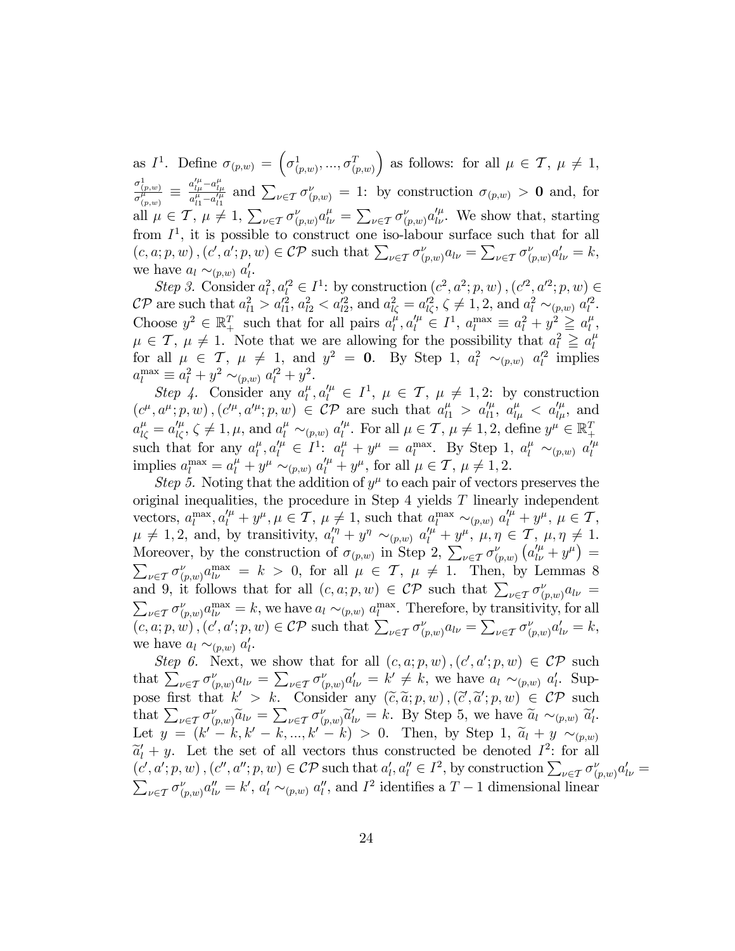as  $I^1$ . Define  $\sigma_{(p,w)} = \left(\sigma^1_{(p,w)}, ..., \sigma^T_{(p,w)}\right)$ ) as follows: for all  $\mu \in \mathcal{T}, \mu \neq 1$ ,  $\frac{\sigma^1_{(p,w)}}{\sigma^\mu_{(p,w)}}\,\equiv\,$  $a'^\mu_{l\mu}$  –  $a^\mu_{l\mu}$  $\frac{a_{l\mu}^{i} - a_{l\mu}^{j}}{a_{l1}^{\mu} - a_{l1}^{\prime\mu}}$  and  $\sum_{\nu \in \mathcal{T}} \sigma_{(p,w)}^{\nu} = 1$ : by construction  $\sigma_{(p,w)} > 0$  and, for all  $\mu \in \mathcal{T}$ ,  $\mu \neq 1$ ,  $\sum_{\nu \in \mathcal{T}} \sigma_{(p,w)}^{\nu} a_{l\nu}^{\mu} = \sum_{\nu \in \mathcal{T}} \sigma_{(p,w)}^{\nu} a_{l\nu}^{\prime \mu}$ . We show that, starting from  $I^1$ , it is possible to construct one iso-labour surface such that for all  $(c, a; p, w)$ ,  $(c', a'; p, w) \in \mathcal{CP}$  such that  $\sum_{\nu \in \mathcal{T}} \sigma_{(p,w)}^{\nu} a_{l\nu} = \sum_{\nu \in \mathcal{T}} \sigma_{(p,w)}^{\nu} a_{l\nu}' = k$ , we have  $a_l \sim_{(p,w)} a'_l$ .

Step 3. Consider  $a_l^2, a_l'^2 \in I^1$ : by construction  $(c^2, a^2; p, w)$ ,  $(c'^2, a'^2; p, w) \in$  $\mathcal{CP}$  are such that  $a_{l1}^2 > a_{l1}^{\prime 2}$ ,  $a_{l2}^2 < a_{l2}^{\prime 2}$ , and  $a_{l\zeta}^2 = a_{l\zeta}^{\prime 2}$ ,  $\zeta \neq 1, 2$ , and  $a_l^2 \sim_{(p,w)} a_l^{\prime 2}$ . Choose  $y^2 \in \mathbb{R}_+^T$  such that for all pairs  $a_l^{\mu}$  $\mu^{l}_{l}, a_{l}^{\prime \mu} \in I^{1}, a_{l}^{\max} \equiv a_{l}^{2} + y^{2} \geq a_{l}^{\mu}$  $_l^{\mu}$  ,  $\mu \in \mathcal{T}, \mu \neq 1$ . Note that we are allowing for the possibility that  $a_l^2 \ge a_l^{\mu}$ l for all  $\mu \in \mathcal{T}$ ,  $\mu \neq 1$ , and  $y^2 = 0$ . By Step 1,  $a_l^2 \sim_{(p,w)} a_l'^2$  implies  $a_l^{\text{max}} \equiv a_l^2 + y^2 \sim_{(p,w)} a_l'^2 + y^2.$ 

Step 4. Consider any  $a_l^{\mu}$  $\mu_l^{\mu}, a_l^{\prime \mu} \in I^1$ ,  $\mu \in \mathcal{T}$ ,  $\mu \neq 1, 2$ ; by construction  $(c^{\mu}, a^{\mu}; p, w), (c'^{\mu}, a'^{\mu}; p, w) \in \mathcal{CP}$  are such that  $a^{\mu}_{l1} > a'^{\mu}_{l1}$ ,  $a^{\mu}_{l\mu} < a'^{\mu}_{l\mu}$ , and  $a_{l\zeta}^{\mu} = a_{l\zeta}^{\prime \mu}, \zeta \neq 1, \mu$ , and  $a_l^{\mu} \sim_{(p,w)} a_l^{\prime \mu}$ . For all  $\mu \in \mathcal{T}, \mu \neq 1, 2$ , define  $y^{\mu} \in \mathbb{R}^T_+$ such that for any  $a_l^{\mu}$  $\ell_l^{\mu}, a_l^{\prime \mu} \in I^1$ :  $a_l^{\mu} + y^{\mu} = a_l^{\max}$ . By Step 1,  $a_l^{\mu} \sim_{(p,w)} a_l^{\prime \mu}$ implies  $a_l^{\max} = a_l^{\mu} + y^{\mu} \sim_{(p,w)} a_l^{\prime \mu} + y^{\mu}$ , for all  $\mu \in \mathcal{T}, \mu \neq 1, 2$ .

Step 5. Noting that the addition of  $y^{\mu}$  to each pair of vectors preserves the original inequalities, the procedure in Step  $4$  yields  $T$  linearly independent vectors,  $a_l^{\max}, a_l^{\prime \mu} + y^{\mu}, \mu \in \mathcal{T}, \mu \neq 1$ , such that  $a_l^{\max} \sim_{(p,w)} a_l^{\prime \mu} + y^{\mu}, \mu \in \mathcal{T}$ ,  $\mu \neq 1, 2$ , and, by transitivity,  $a''_l + y'' \sim_{(p,w)} a''_l + y^{\mu}, \mu, \eta \in \mathcal{T}, \mu, \eta \neq 1$ . Moreover, by the construction of  $\sigma_{(p,w)}$  in Step 2,  $\sum_{\nu \in \mathcal{I}} \sigma_{(p,w)}^{\nu} (a_{l\nu}^{\prime \mu} + y^{\mu}) =$  $\sum_{\nu \in \mathcal{T}} \sigma_{(p,w)}^{\nu} a_{\nu}^{\max} = k > 0$ , for all  $\mu \in \mathcal{T}, \mu \neq 1$ . Then, by Lemmas 8 and 9, it follows that for all  $(c, a; p, w) \in \mathcal{CP}$  such that  $\sum_{\nu \in \mathcal{T}} \sigma_{(p,w)}^{\nu} a_{l\nu} =$  $\sum_{\nu \in \mathcal{T}} \sigma_{(p,w)}^{\nu} a_{\nu}^{\max} = k$ , we have  $a_l \sim_{(p,w)} a_l^{\max}$ . Therefore, by transitivity, for all  $(c, a; p, w), (c', a'; p, w) \in \mathcal{CP}$  such that  $\sum_{\nu \in \mathcal{T}} \sigma_{(p,w)}^{\nu} a_{l\nu} = \sum_{\nu \in \mathcal{T}} \sigma_{(p,w)}^{\nu} a_{l\nu}' = k$ , we have  $a_l \sim_{(p,w)} a'_l$ .

Step 6. Next, we show that for all  $(c, a; p, w)$ ,  $(c', a'; p, w) \in \mathcal{CP}$  such that  $\sum_{\nu \in \mathcal{T}} \sigma_{(p,w)}^{\nu} a_{l\nu} = \sum_{\nu \in \mathcal{T}} \sigma_{(p,w)}^{\nu} a_{l\nu}' = k' \neq k$ , we have  $a_l \sim_{(p,w)} a'_l$ . Suppose first that  $k' > k$ . Consider any  $(\tilde{c}, \tilde{a}; p, w)$ ,  $(\tilde{c}', \tilde{a}'; p, w) \in \mathcal{CP}$  such that  $\sum_{k=1}^{\infty} a_k \tilde{c}_k = \sum_{k=1}^{\infty} a_k \tilde{c}_k$ that  $\sum_{\nu \in \mathcal{I}} \sigma_{(p,w)}^{\nu} \tilde{a}_{l\nu} = \sum_{\nu \in \mathcal{I}} \sigma_{(p,w)}^{\nu} \tilde{a}_{l\nu}^{\nu} = k$ . By Step 5, we have  $\tilde{a}_{l} \sim_{(p,w)} \tilde{a}_{l}^{\nu}$ . Let  $y = (k' - k, k' - k, ..., k' - k) > 0$ . Then, by Step 1,  $\tilde{a}_l + y \sim_{(p,w)}$  $\widetilde{a}'_l + y$ . Let the set of all vectors thus constructed be denoted  $I^2$ : for all  $(c', a'; p, w)$ ,  $(c'', a''; p, w) \in \mathcal{CP}$  such that  $a'_l, a''_l \in I^2$ , by construction  $\sum_{\nu \in \mathcal{T}} \sigma_{(p,w)}^{\nu} a'_{l\nu} =$ <br> $\sum_{\nu \in \mathcal{T}} \sigma_{(p,w)}^{\nu} a''_{l\nu} = k'$ ,  $a'_l \sim_{(n,w)} a''_l$ , and  $I^2$  identifies a  $T-1$  dimensional linear  $\sum_{\nu \in \mathcal{T}} \sigma_{(p,w)}^{\nu} a_{l\nu}'' = k', a'_{l} \sim_{(p,w)} a''_{l}$ , and  $I^2$  identifies a  $T-1$  dimensional linear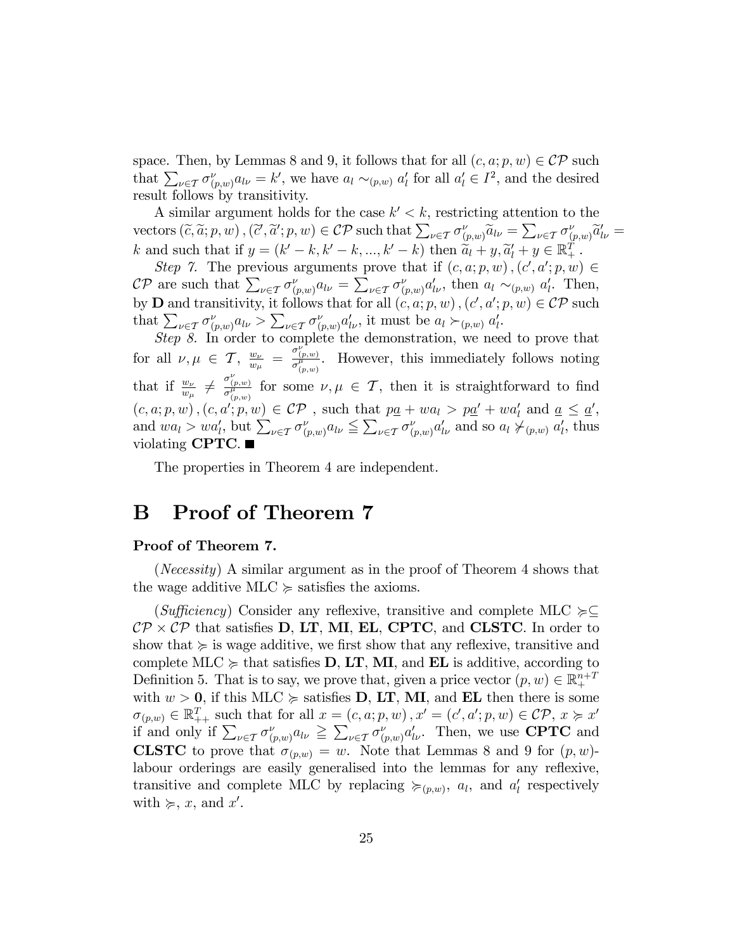space. Then, by Lemmas 8 and 9, it follows that for all  $(c, a; p, w) \in \mathcal{CP}$  such that  $\sum_{\nu \in \mathcal{T}} \sigma_{(p,w)}^{\nu} a_{l\nu} = k'$ , we have  $a_l \sim_{(p,w)} a'_l$  for all  $a'_l \in I^2$ , and the desired result follows by transitivity.

A similar argument holds for the case  $k' < k$ , restricting attention to the vectors  $(\tilde{c}, \tilde{a}; p, w)$ ,  $(\tilde{c}', \tilde{a}'; p, w) \in \mathcal{CP}$  such that  $\sum_{\nu \in \mathcal{T}} \sigma_{(p,w)}^{\nu} \tilde{a}_{l\nu} = \sum_{\nu \in \mathcal{T}} \sigma_{(p,w)}^{\nu} \tilde{a}_{l\nu}' =$ k and such that if  $y = (k' - k, k' - k, ..., k' - k)$  then  $\widetilde{a}_l + y, \widetilde{a}'_l + y \in \mathbb{R}_+^T$ .

Step 7. The previous arguments prove that if  $(c, a; p, w)$ ,  $(c', a'; p, w) \in$  $\mathcal{CP}$  are such that  $\sum_{\nu \in \mathcal{T}} \sigma_{(p,w)}^{\nu} a_{l\nu} = \sum_{\nu \in \mathcal{T}} \sigma_{(p,w)}^{\nu} a_{l\nu}^{\prime}$ , then  $a_l \sim_{(p,w)} a_l^{\prime}$ . Then, by **D** and transitivity, it follows that for all  $(c, a; p, w)$ ,  $(c', a'; p, w) \in \mathcal{CP}$  such that  $\sum_{\nu \in \mathcal{T}} \sigma_{(p,w)}^{\nu} a_{l\nu} > \sum_{\nu \in \mathcal{T}} \sigma_{(p,w)}^{\nu} a_{l\nu}^{\prime}$ , it must be  $a_l \succ_{(p,w)} a_l^{\prime}$ .

Step 8. In order to complete the demonstration, we need to prove that for all  $\nu, \mu \in \mathcal{T}, \frac{w_{\nu}}{w_{\mu}}$  $\frac{w_{\nu}}{w_{\mu}} = \frac{\sigma_{(p,w)}^{\nu}}{\sigma_{(p,w)}^{\mu}}$ . However, this immediately follows noting that if  $\frac{w_{\nu}}{w_{\mu}} \neq \frac{\sigma_{(p,w)}^{\nu}}{\sigma_{(p,w)}^{\mu}}$  for some  $\nu, \mu \in \mathcal{T}$ , then it is straightforward to find  $(c, a; p, w), (c, a'; p, w) \in \mathcal{CP}$ , such that  $p\underline{a} + wa_l > p\underline{a'} + wa'_l$  and  $\underline{a} \leq \underline{a'},$ and  $wa_l > wa'_l$ , but  $\sum_{\nu \in \mathcal{T}} \sigma^{\nu}_{(p,w)} a_{l\nu} \leq \sum_{\nu \in \mathcal{T}} \sigma^{\nu}_{(p,w)} a'_{l\nu}$  and so  $a_l \neq_{(p,w)} a'_l$ , thus violating **CPTC**.

The properties in Theorem 4 are independent.

#### B Proof of Theorem 7

#### Proof of Theorem 7.

(Necessity) A similar argument as in the proof of Theorem 4 shows that the wage additive MLC  $\succcurlyeq$  satisfies the axioms.

(Sufficiency) Consider any reflexive, transitive and complete MLC  $\succeq \subseteq$  $\mathcal{CP} \times \mathcal{CP}$  that satisfies **D**, **LT**, **MI**, **EL**, **CPTC**, and **CLSTC**. In order to show that  $\succcurlyeq$  is wage additive, we first show that any reflexive, transitive and complete MLC  $\succeq$  that satisfies **D**, **LT**, **MI**, and **EL** is additive, according to Definition 5. That is to say, we prove that, given a price vector  $(p, w) \in \mathbb{R}^{n+T}_+$ with  $w > 0$ , if this MLC  $\succeq$  satisfies **D**, **LT**, **MI**, and **EL** then there is some  $\sigma_{(p,w)} \in \mathbb{R}_{++}^T$  such that for all  $x = (c, a; p, w)$ ,  $x' = (c', a'; p, w) \in \mathcal{CP}, x \succcurlyeq x'$ if and only if  $\sum_{\nu \in \mathcal{I}} \sigma_{(p,w)}^{\nu} a_{l\nu} \geq \sum_{\nu \in \mathcal{I}} \sigma_{(p,w)}^{\nu} a_{l\nu}^{\nu}$ . Then, we use **CPTC** and **CLSTC** to prove that  $\sigma_{(p,w)} = w$ . Note that Lemmas 8 and 9 for  $(p, w)$ labour orderings are easily generalised into the lemmas for any reflexive, transitive and complete MLC by replacing  $\succcurlyeq_{(p,w)}$ , and  $a'_l$  respectively with  $\succcurlyeq$ , x, and x'.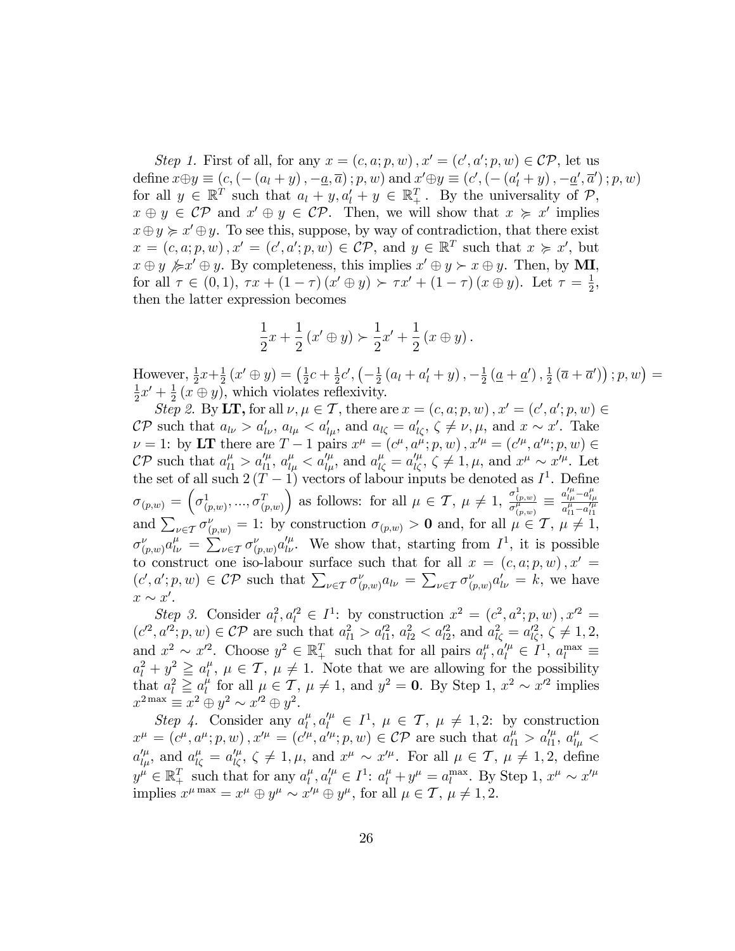Step 1. First of all, for any  $x = (c, a; p, w)$ ,  $x' = (c', a'; p, w) \in \mathcal{CP}$ , let us define  $x \oplus y \equiv (c, (- (a_l + y), -\underline{a}, \overline{a}) ; p, w)$  and  $x' \oplus y \equiv (c', (- (a'_l + y), -\underline{a}', \overline{a}')) ; p, w)$ for all  $y \in \mathbb{R}^T$  such that  $a_l + y, a'_l + y \in \mathbb{R}_+^T$ . By the universality of  $\mathcal{P}$ ,  $x \oplus y \in \mathcal{CP}$  and  $x' \oplus y \in \mathcal{CP}$ . Then, we will show that  $x \geq x'$  implies  $x \oplus y \succcurlyeq x' \oplus y$ . To see this, suppose, by way of contradiction, that there exist  $x = (c, a; p, w), x' = (c', a'; p, w) \in \mathcal{CP}$ , and  $y \in \mathbb{R}^T$  such that  $x \succcurlyeq x'$ , but  $x \oplus y \not\succ x' \oplus y$ . By completeness, this implies  $x' \oplus y \succ x \oplus y$ . Then, by **MI**, for all  $\tau \in (0, 1)$ ,  $\tau x + (1 - \tau)(x' \oplus y) \succ \tau x' + (1 - \tau)(x \oplus y)$ . Let  $\tau = \frac{1}{2}$  $\frac{1}{2}$ , then the latter expression becomes

$$
\frac{1}{2}x + \frac{1}{2}(x' \oplus y) \succ \frac{1}{2}x' + \frac{1}{2}(x \oplus y).
$$

However,  $\frac{1}{2}x+\frac{1}{2}$  $\frac{1}{2}(x' \oplus y) = (\frac{1}{2})$  $rac{1}{2}c + \frac{1}{2}$  $\frac{1}{2}c', \left(-\frac{1}{2}\right)$  $\frac{1}{2}(a_l + a'_l + y), -\frac{1}{2}$  $\frac{1}{2}\left(\underline{a}+\underline{a}'\right),\frac{1}{2}$  $\frac{1}{2}(\overline{a}+\overline{a}'))$ ;  $p, w) =$ 1  $\frac{1}{2}x' + \frac{1}{2}$  $\frac{1}{2}(x \oplus y)$ , which violates reflexivity.

Step 2. By LT, for all  $\nu, \mu \in \mathcal{T}$ , there are  $x = (c, a; p, w)$ ,  $x' = (c', a'; p, w) \in$  $\mathcal{CP}$  such that  $a_{l\nu} > a'_{l\nu}$ ,  $a_{l\mu} < a'_{l\mu}$ , and  $a_{l\zeta} = a'_{l\zeta}$ ,  $\zeta \neq \nu, \mu$ , and  $x \sim x'$ . Take  $\nu = 1$ : by LT there are  $T - 1$  pairs  $x^{\mu} = (c^{\mu}, a^{\mu}; p, w)$ ,  $x'^{\mu} = (c'^{\mu}, a'^{\mu}; p, w) \in$  $\mathcal{CP}$  such that  $a_{l1}^{\mu} > a_{l1}^{\prime\mu}$ ,  $a_{l\mu}^{\mu} < a_{l\mu}^{\prime\mu}$ , and  $a_{l\zeta}^{\mu} = a_{l\zeta}^{\prime\mu}$ ,  $\zeta \neq 1, \mu$ , and  $x^{\mu} \sim x^{\prime\mu}$ . Let the set of all such  $2(T-1)$  vectors of labour inputs be denoted as  $I^1$ . Define  $\sigma_{(p,w)} = \left(\sigma^1_{(p,w)},...,\sigma^T_{(p,w)}\right)$ ) as follows: for all  $\mu \in \mathcal{T}$ ,  $\mu \neq 1$ ,  $\frac{\sigma_{(p,w)}^1}{\sigma_{(p,w)}^{\mu}} \equiv$  $a_{l\mu}^{\prime\mu}$  –  $a_{l\mu}^{\mu}$  $\sigma(p,w) = \begin{pmatrix} \sigma(p,w), \dots, \sigma(p,w) \end{pmatrix}$  as follows. For all  $\mu \in \mathcal{I}$ ,  $\mu \neq 1$ ,  $\frac{\sigma(p,w)}{\sigma(p,w)} = \frac{\sigma(p,w)}{\sigma(p,w)}$ <br>and  $\sum_{\nu \in \mathcal{I}} \sigma_{(p,w)}^{\nu} = 1$ : by construction  $\sigma_{(p,w)} > 0$  and, for all  $\mu \in \mathcal{I}$ ,  $\mu \neq 1$ ,  $\sigma_{(p,w)}^{\nu} a_{l\nu}^{\mu} = \sum_{\nu \in \mathcal{T}} \sigma_{(p,w)}^{\nu} a_{l\nu}^{\prime \mu}$ . We show that, starting from  $I^{1}$ , it is possible to construct one iso-labour surface such that for all  $x = (c, a; p, w), x' =$  $(c', a'; p, w) \in \mathcal{CP}$  such that  $\sum_{\nu \in \mathcal{T}} \sigma_{(p,w)}^{\nu} a_{l\nu} = \sum_{\nu \in \mathcal{T}} \sigma_{(p,w)}^{\nu} a_{l\nu}^{\nu} = k$ , we have  $x \sim x'.$ 

Step 3. Consider  $a_l^2, a_l'^2 \in I^1$ : by construction  $x^2 = (c^2, a^2; p, w), x'^2 =$  $(c^2, a^2; p, w) \in \mathcal{CP}$  are such that  $a_{l1}^2 > a_{l1}^2, a_{l2}^2 < a_{l2}^2$ , and  $a_{l\zeta}^2 = a_{l\zeta}^2, \zeta \neq 1, 2,$ and  $x^2 \sim x'^2$ . Choose  $y^2 \in \mathbb{R}^T_+$  such that for all pairs  $a_l^{\mu}$  $\mu_l^{\mu}, a_l^{\prime \mu} \in I^1, a_l^{\max} \equiv$  $a_l^2 + y^2 \geqq a_l^{\mu}$  $\mu, \mu \in \mathcal{T}, \mu \neq 1$ . Note that we are allowing for the possibility that  $a_l^2 \geq a_l^{\mu}$  $\mu$ <sup>t</sup> for all  $\mu \in \mathcal{T}$ ,  $\mu \neq 1$ , and  $y^2 = 0$ . By Step 1,  $x^2 \sim x'^2$  implies  $x^{2 \max} \equiv x^2 \oplus y^2 \sim x^2 \oplus y^2.$ 

Step 4. Consider any  $a_l^{\mu}$  $\mu_l^{\mu}, a_l^{\prime \mu} \in I^1$ ,  $\mu \in \mathcal{T}$ ,  $\mu \neq 1, 2$ : by construction  $x^{\mu} = (c^{\mu}, a^{\mu}; p, w), x'^{\mu} = (c'^{\mu}, a'^{\mu}; p, w) \in \mathcal{CP}$  are such that  $a^{\mu}_{l1} > a'^{\mu}_{l1}, a^{\mu}_{l\mu} <$  $a_{l\mu}^{\prime\mu}$ , and  $a_{l\zeta}^{\mu} = a_{l\zeta}^{\prime\mu}$ ,  $\zeta \neq 1, \mu$ , and  $x^{\mu} \sim x^{\prime\mu}$ . For all  $\mu \in \mathcal{T}$ ,  $\mu \neq 1, 2$ , define  $y^{\mu} \in \mathbb{R}_{+}^{T}$  such that for any  $a_{l}^{\mu}$  $\mu_l^{\mu}, a_l^{\prime \mu} \in I^1$ :  $a_l^{\mu} + y^{\mu} = a_l^{\text{max}}$ . By Step 1,  $x^{\mu} \sim x^{\prime \mu}$ implies  $x^{\mu \max} = x^{\mu} \oplus y^{\mu} \sim x'^{\mu} \oplus y^{\mu}$ , for all  $\mu \in \mathcal{T}, \mu \neq 1, 2$ .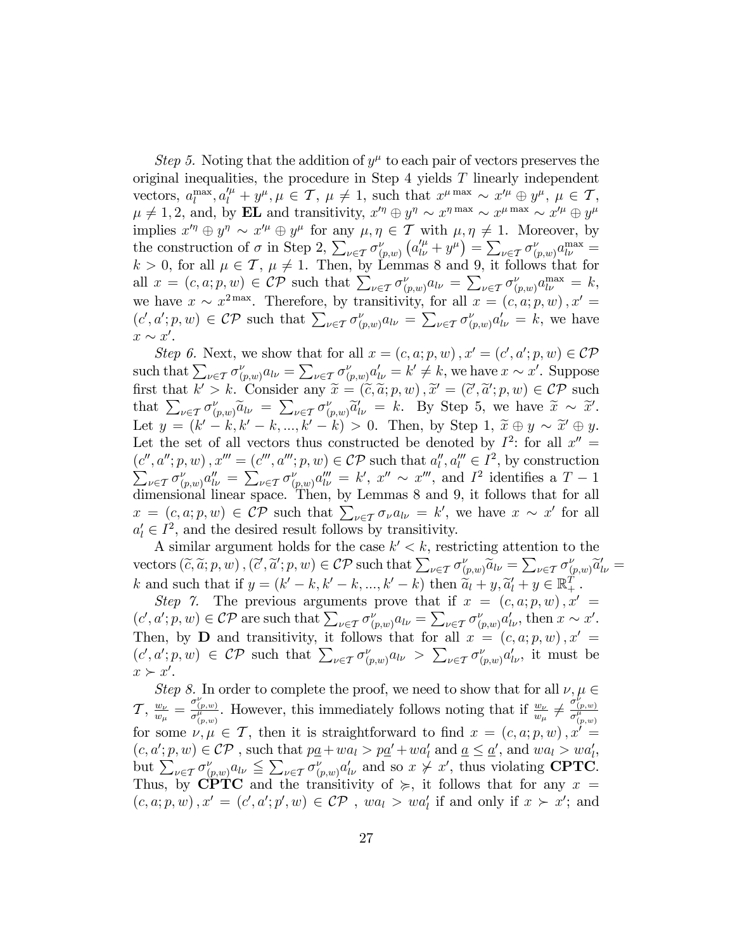Step 5. Noting that the addition of  $y^{\mu}$  to each pair of vectors preserves the original inequalities, the procedure in Step  $4$  yields  $T$  linearly independent vectors,  $a_l^{\max}, a_l^{\prime \mu} + y^{\mu}, \mu \in \mathcal{T}, \mu \neq 1$ , such that  $x^{\mu \max} \sim x^{\prime \mu} \oplus y^{\mu}, \mu \in \mathcal{T}$ ,  $\mu \neq 1, 2$ , and, by **EL** and transitivity,  $x'^\eta \oplus y^\eta \sim x^{\eta \max} \sim x^{\mu \max} \sim x'^{\mu} \oplus y^{\mu}$ implies  $x'^\eta \oplus y^\eta \sim x'^\mu \oplus y^\mu$  for any  $\mu, \eta \in \mathcal{T}$  with  $\mu, \eta \neq 1$ . Moreover, by the construction of  $\sigma$  in Step 2,  $\sum_{\nu \in \mathcal{T}} \sigma_{(p,w)}^{\nu} (a_{l\nu}^{\prime \mu} + y^{\mu}) = \sum_{\nu \in \mathcal{T}} \sigma_{(p,w)}^{\nu} a_{l\nu}^{\text{max}} =$  $k > 0$ , for all  $\mu \in \mathcal{T}$ ,  $\mu \neq 1$ . Then, by Lemmas 8 and 9, it follows that for all  $x = (c, a; p, w) \in \mathcal{CP}$  such that  $\sum_{\nu \in \mathcal{T}} \sigma_{(p,w)}^{\nu} a_{l\nu} = \sum_{\nu \in \mathcal{T}} \sigma_{(p,w)}^{\nu} a_{l\nu}^{\max} = k$ , we have  $x \sim x^{2\max}$ . Therefore, by transitivity, for all  $x = (c, a; p, w)$ ,  $x' = (c, a; p, w)$ .  $(c', a'; p, w) \in \mathcal{CP}$  such that  $\sum_{\nu \in \mathcal{T}} \sigma_{(p,w)}^{\nu} a_{l\nu} = \sum_{\nu \in \mathcal{T}} \sigma_{(p,w)}^{\nu} a'_{l\nu} = k$ , we have  $x \sim x'.$ 

Step 6. Next, we show that for all  $x = (c, a; p, w)$ ,  $x' = (c', a'; p, w) \in \mathcal{CP}$ such that  $\sum_{\nu \in \mathcal{T}} \sigma_{(p,w)}^{\nu} a_{l\nu} = \sum_{\nu \in \mathcal{T}} \sigma_{(p,w)}^{\nu} a_{l\nu}' = k' \neq k$ , we have  $x \sim x'$ . Suppose first that  $k' > k$ . Consider any  $\widetilde{x} = (\widetilde{c}, \widetilde{a}; p, w), \widetilde{x}' = (\widetilde{c}', \widetilde{a}'; p, w) \in \mathcal{CP}$  such that  $\sum_{k=1}^{\infty} \widetilde{c}_k$ that  $\sum_{\nu \in \mathcal{T}} \sigma_{(p,w)}^{\nu} \widetilde{a}_{l\nu} = \sum_{\nu \in \mathcal{T}} \sigma_{(p,w)}^{\nu} \widetilde{a}_{l\nu}^{\nu} = k$ . By Step 5, we have  $\widetilde{x} \sim \widetilde{x}'$ . Let  $y = (k' - k, k' - k, ..., k' - k) > 0$ . Then, by Step 1,  $\widetilde{x} \oplus y \sim \widetilde{x}' \oplus y$ . Let the set of all vectors thus constructed be denoted by  $I^2$ : for all  $x'' =$  $(c'', a''; p, w)$ ,  $x''' = (c''', a'''; p, w) \in \mathcal{CP}$  such that  $a''_l, a''_l \in I^2$ , by construction  $\sum_{\nu \in \mathcal{T}} \sigma_{(p,w)}^{\nu} a_{l\nu}^{\prime\prime} = \sum_{\nu \in \mathcal{T}} \sigma_{(p,w)}^{\nu} a_{l\nu}^{\prime\prime\prime} = k^{\prime}, x^{\prime\prime} \sim x^{\prime\prime\prime}$ , and  $I^2$  identifies a  $T-1$ dimensional linear space. Then, by Lemmas 8 and 9, it follows that for all  $x = (c, a; p, w) \in \mathcal{CP}$  such that  $\sum_{\nu \in \mathcal{T}} \sigma_{\nu} a_{\nu} = k'$ , we have  $x \sim x'$  for all  $a'_l \in I^2$ , and the desired result follows by transitivity.

A similar argument holds for the case  $k' < k$ , restricting attention to the vectors  $(\tilde{c}, \tilde{a}; p, w)$ ,  $(\tilde{c}', \tilde{a}'; p, w) \in \mathcal{CP}$  such that  $\sum_{\nu \in \mathcal{T}} \sigma_{(p,w)}^{\nu} \tilde{a}_{l\nu} = \sum_{\nu \in \mathcal{T}} \sigma_{(p,w)}^{\nu} \tilde{a}_{l\nu}' =$ k and such that if  $y = (k' - k, k' - k, ..., k' - k)$  then  $\widetilde{a}_l + y, \widetilde{a}'_l + y \in \mathbb{R}_+^T$ .

Step 7. The previous arguments prove that if  $x = (c, a; p, w), x' =$  $(c', a'; p, w) \in \mathcal{CP}$  are such that  $\sum_{\nu \in \mathcal{T}} \sigma_{(p,w)}^{\nu} a_{l\nu} = \sum_{\nu \in \mathcal{T}} \sigma_{(p,w)}^{\nu} a'_{l\nu}$ , then  $x \sim x'$ . Then, by **D** and transitivity, it follows that for all  $x = (c, a; p, w), x' =$  $(c', a'; p, w) \in \mathcal{CP}$  such that  $\sum_{\nu \in \mathcal{T}} \sigma_{(p,w)}^{\nu} a_{l\nu} > \sum_{\nu \in \mathcal{T}} \sigma_{(p,w)}^{\nu} a'_{l\nu}$ , it must be  $x \succ x'.$ 

Step 8. In order to complete the proof, we need to show that for all  $\nu, \mu \in$  $\mathcal{T}, \frac{w_{\nu}}{w_{\mu}}$  $\frac{w_{\nu}}{w_{\mu}} = \frac{\sigma_{(p,w)}^{\nu}}{\sigma_{(p,w)}^{\mu}}$ . However, this immediately follows noting that if  $\frac{w_{\nu}}{w_{\mu}} \neq \frac{\sigma_{(p,w)}^{\nu}}{\sigma_{(p,w)}^{\mu}}$ for some  $v, \mu \in \mathcal{T}$ , then it is straightforward to find  $x = (c, a; p, w), x^{\nu} =$  $(c, a'; p, w) \in \mathcal{CP}$ , such that  $p\underline{a} + wa_i > p\underline{a}' + wa'_i$  and  $\underline{a} \leq \underline{a}'$ , and  $wa_i > wa'_i$ , but  $\sum_{\nu \in \mathcal{T}} \sigma_{(p,w)}^{\nu} a_{l\nu} \leq \sum_{\nu \in \mathcal{T}} \sigma_{(p,w)}^{\nu} a_{l\nu}'$  and so  $x \neq x'$ , thus violating **CPTC**. Thus, by CPTC and the transitivity of  $\succeq$ , it follows that for any  $x =$  $(c, a; p, w)$ ,  $x' = (c', a'; p', w) \in \mathcal{CP}$ ,  $wa_l > wa'_l$  if and only if  $x \succ x'$ ; and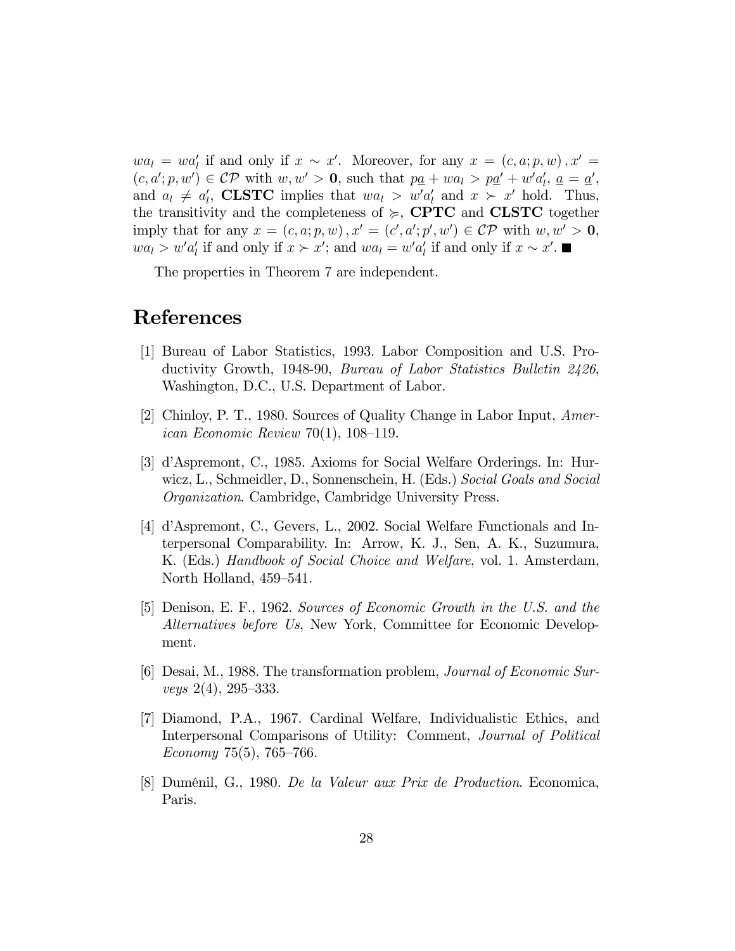$wa_l = wa'_l$  if and only if  $x \sim x'$ . Moreover, for any  $x = (c, a; p, w)$ ,  $x' =$  $(c, a'; p, w') \in \mathcal{CP}$  with  $w, w' > 0$ , such that  $p\underline{a} + w a_l > p\underline{a}' + w' a'_l$ ,  $\underline{a} = \underline{a}'$ , and  $a_l \neq a'_l$ , **CLSTC** implies that  $wa_l > w'a'_l$  and  $x > x'$  hold. Thus, the transitivity and the completeness of  $\succeq$ , **CPTC** and **CLSTC** together imply that for any  $x = (c, a; p, w)$ ,  $x' = (c', a'; p', w') \in \mathcal{CP}$  with  $w, w' > 0$ ,  $wa_l > w'a'_l$  if and only if  $x \succ x'$ ; and  $wa_l = w'a'_l$  if and only if  $x \sim x'$ .

The properties in Theorem 7 are independent.

#### References

- [1] Bureau of Labor Statistics, 1993. Labor Composition and U.S. Productivity Growth, 1948-90, Bureau of Labor Statistics Bulletin 2426, Washington, D.C., U.S. Department of Labor.
- [2] Chinloy, P. T., 1980. Sources of Quality Change in Labor Input, American Economic Review 70(1),  $108-119$ .
- [3] díAspremont, C., 1985. Axioms for Social Welfare Orderings. In: Hurwicz, L., Schmeidler, D., Sonnenschein, H. (Eds.) Social Goals and Social Organization. Cambridge, Cambridge University Press.
- [4] díAspremont, C., Gevers, L., 2002. Social Welfare Functionals and Interpersonal Comparability. In: Arrow, K. J., Sen, A. K., Suzumura, K. (Eds.) Handbook of Social Choice and Welfare, vol. 1. Amsterdam, North Holland, 459–541.
- [5] Denison, E. F., 1962. Sources of Economic Growth in the U.S. and the Alternatives before Us, New York, Committee for Economic Development.
- [6] Desai, M., 1988. The transformation problem, Journal of Economic Surveys  $2(4)$ ,  $295-333$ .
- [7] Diamond, P.A., 1967. Cardinal Welfare, Individualistic Ethics, and Interpersonal Comparisons of Utility: Comment, Journal of Political Economy 75(5), 765–766.
- [8] DumÈnil, G., 1980. De la Valeur aux Prix de Production. Economica, Paris.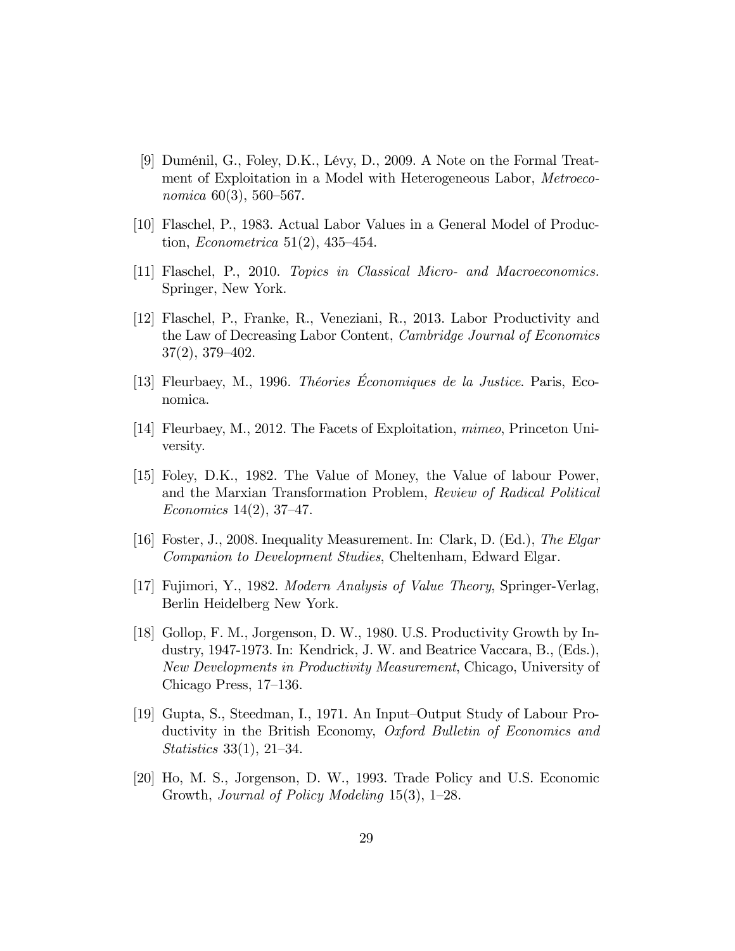- [9] DumÈnil, G., Foley, D.K., LÈvy, D., 2009. A Note on the Formal Treatment of Exploitation in a Model with Heterogeneous Labor, Metroeconomica  $60(3)$ , 560–567.
- [10] Flaschel, P., 1983. Actual Labor Values in a General Model of Production, *Econometrica* 51(2), 435–454.
- [11] Flaschel, P., 2010. Topics in Classical Micro- and Macroeconomics. Springer, New York.
- [12] Flaschel, P., Franke, R., Veneziani, R., 2013. Labor Productivity and the Law of Decreasing Labor Content, Cambridge Journal of Economics  $37(2)$ ,  $379-402$ .
- [13] Fleurbaey, M., 1996. *Théories Économiques de la Justice*. Paris, Economica.
- [14] Fleurbaey, M., 2012. The Facets of Exploitation, mimeo, Princeton University.
- [15] Foley, D.K., 1982. The Value of Money, the Value of labour Power, and the Marxian Transformation Problem, Review of Radical Political Economics 14(2), 37–47.
- [16] Foster, J., 2008. Inequality Measurement. In: Clark, D. (Ed.), The Elgar Companion to Development Studies, Cheltenham, Edward Elgar.
- [17] Fujimori, Y., 1982. Modern Analysis of Value Theory, Springer-Verlag, Berlin Heidelberg New York.
- [18] Gollop, F. M., Jorgenson, D. W., 1980. U.S. Productivity Growth by Industry, 1947-1973. In: Kendrick, J. W. and Beatrice Vaccara, B., (Eds.), New Developments in Productivity Measurement, Chicago, University of Chicago Press,  $17-136$ .
- [19] Gupta, S., Steedman, I., 1971. An Input–Output Study of Labour Productivity in the British Economy, Oxford Bulletin of Economics and *Statistics* 33(1), 21–34.
- [20] Ho, M. S., Jorgenson, D. W., 1993. Trade Policy and U.S. Economic Growth, Journal of Policy Modeling  $15(3)$ ,  $1-28$ .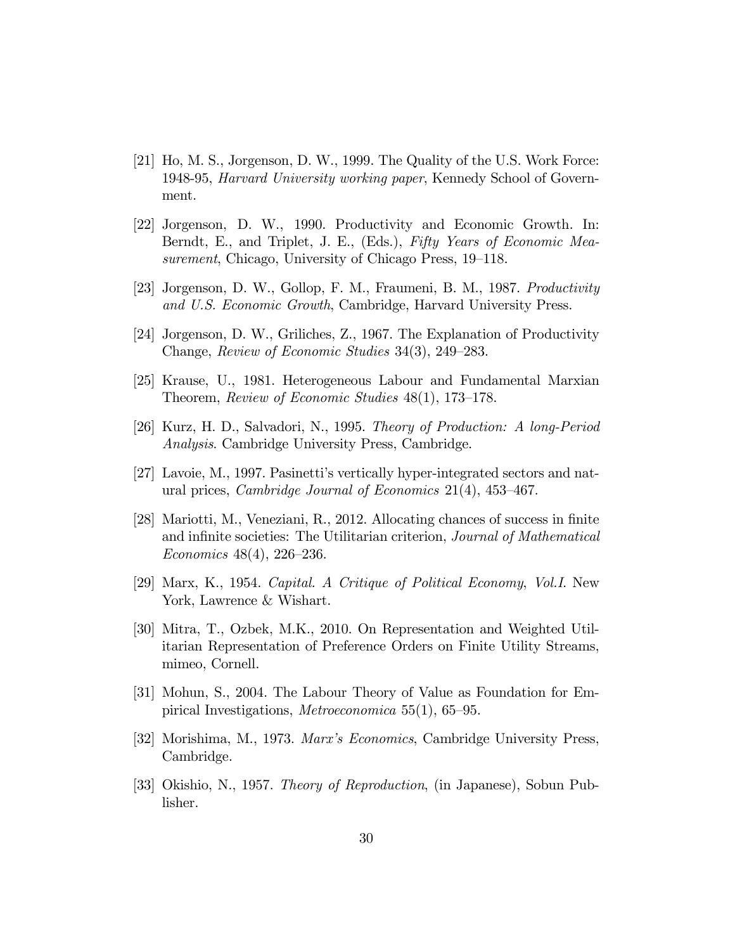- [21] Ho, M. S., Jorgenson, D. W., 1999. The Quality of the U.S. Work Force: 1948-95, Harvard University working paper, Kennedy School of Government.
- [22] Jorgenson, D. W., 1990. Productivity and Economic Growth. In: Berndt, E., and Triplet, J. E., (Eds.), Fifty Years of Economic Measurement, Chicago, University of Chicago Press,  $19-118$ .
- [23] Jorgenson, D. W., Gollop, F. M., Fraumeni, B. M., 1987. Productivity and U.S. Economic Growth, Cambridge, Harvard University Press.
- [24] Jorgenson, D. W., Griliches, Z., 1967. The Explanation of Productivity Change, Review of Economic Studies  $34(3)$ ,  $249-283$ .
- [25] Krause, U., 1981. Heterogeneous Labour and Fundamental Marxian Theorem, Review of Economic Studies  $48(1)$ , 173–178.
- [26] Kurz, H. D., Salvadori, N., 1995. Theory of Production: A long-Period Analysis. Cambridge University Press, Cambridge.
- [27] Lavoie, M., 1997. Pasinettiís vertically hyper-integrated sectors and natural prices, *Cambridge Journal of Economics*  $21(4)$ ,  $453-467$ .
- [28] Mariotti, M., Veneziani, R., 2012. Allocating chances of success in Önite and infinite societies: The Utilitarian criterion, Journal of Mathematical Economics  $48(4)$ ,  $226-236$ .
- [29] Marx, K., 1954. Capital. A Critique of Political Economy, Vol.I. New York, Lawrence & Wishart.
- [30] Mitra, T., Ozbek, M.K., 2010. On Representation and Weighted Utilitarian Representation of Preference Orders on Finite Utility Streams, mimeo, Cornell.
- [31] Mohun, S., 2004. The Labour Theory of Value as Foundation for Empirical Investigations, *Metroeconomica* 55(1), 65–95.
- [32] Morishima, M., 1973. Marxís Economics, Cambridge University Press, Cambridge.
- [33] Okishio, N., 1957. Theory of Reproduction, (in Japanese), Sobun Publisher.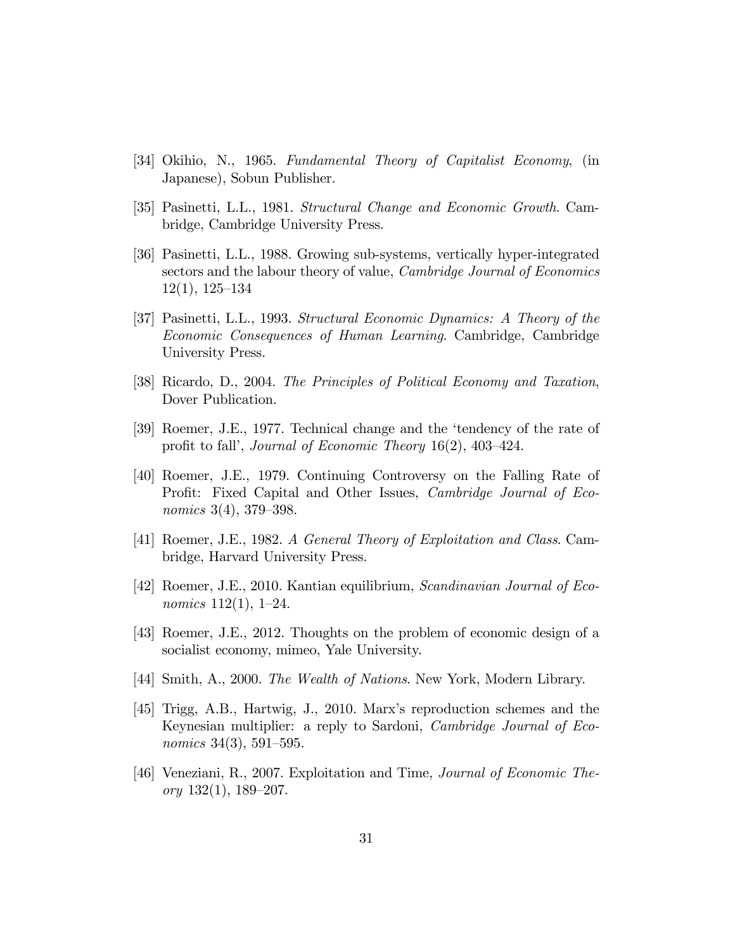- [34] Okihio, N., 1965. Fundamental Theory of Capitalist Economy, (in Japanese), Sobun Publisher.
- [35] Pasinetti, L.L., 1981. Structural Change and Economic Growth. Cambridge, Cambridge University Press.
- [36] Pasinetti, L.L., 1988. Growing sub-systems, vertically hyper-integrated sectors and the labour theory of value, *Cambridge Journal of Economics*  $12(1), 125-134$
- [37] Pasinetti, L.L., 1993. Structural Economic Dynamics: A Theory of the Economic Consequences of Human Learning. Cambridge, Cambridge University Press.
- [38] Ricardo, D., 2004. The Principles of Political Economy and Taxation, Dover Publication.
- [39] Roemer, J.E., 1977. Technical change and the 'tendency of the rate of profit to fall', Journal of Economic Theory 16(2),  $403-424$ .
- [40] Roemer, J.E., 1979. Continuing Controversy on the Falling Rate of Profit: Fixed Capital and Other Issues, *Cambridge Journal of Eco*nomics 3(4), 379–398.
- [41] Roemer, J.E., 1982. A General Theory of Exploitation and Class. Cambridge, Harvard University Press.
- [42] Roemer, J.E., 2010. Kantian equilibrium, Scandinavian Journal of Economics  $112(1)$ ,  $1-24$ .
- [43] Roemer, J.E., 2012. Thoughts on the problem of economic design of a socialist economy, mimeo, Yale University.
- [44] Smith, A., 2000. The Wealth of Nations. New York, Modern Library.
- [45] Trigg, A.B., Hartwig, J., 2010. Marxís reproduction schemes and the Keynesian multiplier: a reply to Sardoni, Cambridge Journal of Economics 34(3), 591–595.
- [46] Veneziani, R., 2007. Exploitation and Time, Journal of Economic Theory  $132(1)$ ,  $189-207$ .